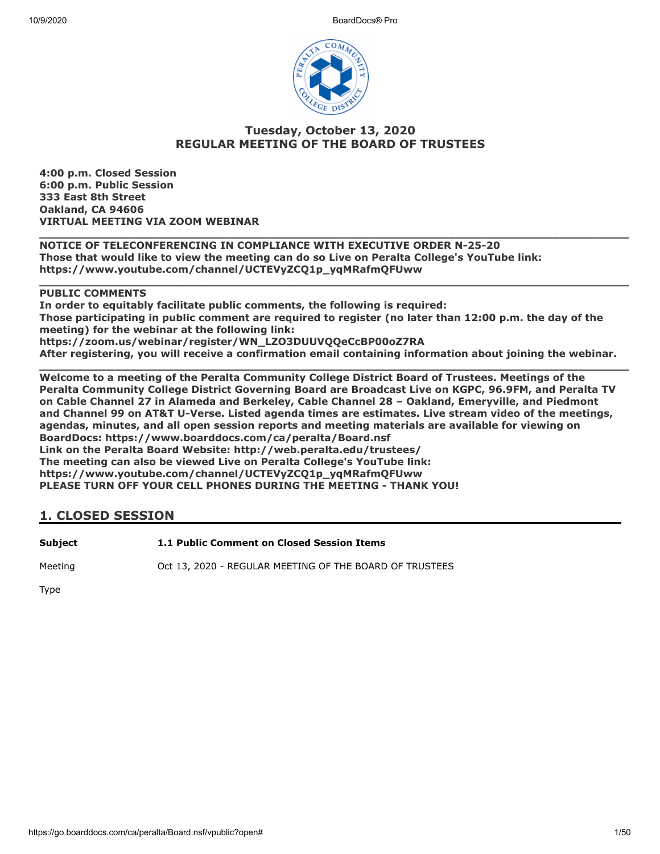10/9/2020 BoardDocs® Pro



# **Tuesday, October 13, 2020 REGULAR MEETING OF THE BOARD OF TRUSTEES**

**4:00 p.m. Closed Session 6:00 p.m. Public Session 333 East 8th Street Oakland, CA 94606 VIRTUAL MEETING VIA ZOOM WEBINAR**

**\_\_\_\_\_\_\_\_\_\_\_\_\_\_\_\_\_\_\_\_\_\_\_\_\_\_\_\_\_\_\_\_\_\_\_\_\_\_\_\_\_\_\_\_\_\_\_\_\_\_\_\_\_\_\_\_\_\_\_\_\_\_\_\_\_\_\_\_\_\_\_\_\_\_\_\_\_\_\_\_\_\_\_\_\_ NOTICE OF TELECONFERENCING IN COMPLIANCE WITH EXECUTIVE ORDER N-25-20 Those that would like to view the meeting can do so Live on Peralta College's YouTube link: https://www.youtube.com/channel/UCTEVyZCQ1p\_yqMRafmQFUww**

# **PUBLIC COMMENTS**

**In order to equitably facilitate public comments, the following is required: Those participating in public comment are required to register (no later than 12:00 p.m. the day of the meeting) for the webinar at the following link: https://zoom.us/webinar/register/WN\_LZO3DUUVQQeCcBP00oZ7RA After registering, you will receive a confirmation email containing information about joining the webinar.**

**\_\_\_\_\_\_\_\_\_\_\_\_\_\_\_\_\_\_\_\_\_\_\_\_\_\_\_\_\_\_\_\_\_\_\_\_\_\_\_\_\_\_\_\_\_\_\_\_\_\_\_\_\_\_\_\_\_\_\_\_\_\_\_\_\_\_\_\_\_\_\_\_\_\_\_\_\_\_\_\_\_\_\_\_\_**

**\_\_\_\_\_\_\_\_\_\_\_\_\_\_\_\_\_\_\_\_\_\_\_\_\_\_\_\_\_\_\_\_\_\_\_\_\_\_\_\_\_\_\_\_\_\_\_\_\_\_\_\_\_\_\_\_\_\_\_\_\_\_\_\_\_\_\_\_\_\_\_\_\_\_\_\_\_\_\_\_\_\_\_\_\_ Welcome to a meeting of the Peralta Community College District Board of Trustees. Meetings of the Peralta Community College District Governing Board are Broadcast Live on KGPC, 96.9FM, and Peralta TV on Cable Channel 27 in Alameda and Berkeley, Cable Channel 28 – Oakland, Emeryville, and Piedmont and Channel 99 on AT&T U-Verse. Listed agenda times are estimates. Live stream video of the meetings, agendas, minutes, and all open session reports and meeting materials are available for viewing on BoardDocs: https://www.boarddocs.com/ca/peralta/Board.nsf Link on the Peralta Board Website: http://web.peralta.edu/trustees/ The meeting can also be viewed Live on Peralta College's YouTube link: https://www.youtube.com/channel/UCTEVyZCQ1p\_yqMRafmQFUww PLEASE TURN OFF YOUR CELL PHONES DURING THE MEETING - THANK YOU!**

# **1. CLOSED SESSION**

**Subject 1.1 Public Comment on Closed Session Items**

Meeting Oct 13, 2020 - REGULAR MEETING OF THE BOARD OF TRUSTEES

Type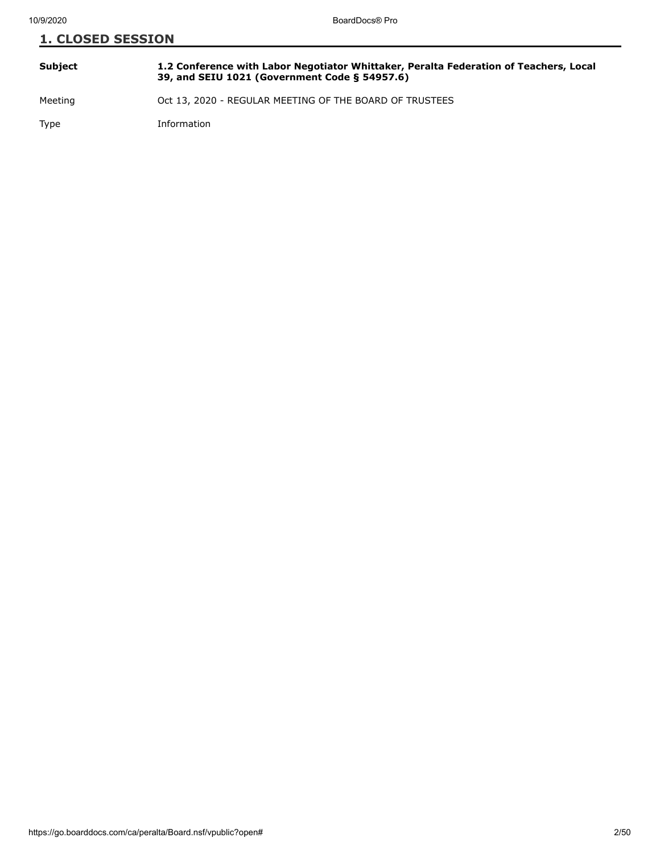| Subject | 1.2 Conference with Labor Negotiator Whittaker, Peralta Federation of Teachers, Local<br>39, and SEIU 1021 (Government Code § 54957.6) |
|---------|----------------------------------------------------------------------------------------------------------------------------------------|
| Meeting | Oct 13, 2020 - REGULAR MEETING OF THE BOARD OF TRUSTEES                                                                                |

Type Information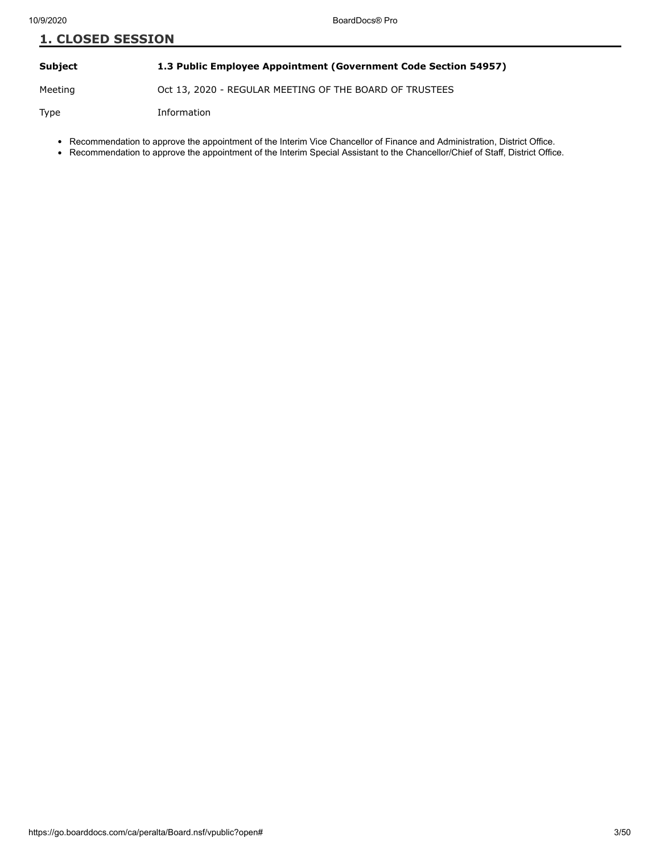# **Subject 1.3 Public Employee Appointment (Government Code Section 54957)**

Meeting Oct 13, 2020 - REGULAR MEETING OF THE BOARD OF TRUSTEES

Type Information

- Recommendation to approve the appointment of the Interim Vice Chancellor of Finance and Administration, District Office.
- Recommendation to approve the appointment of the Interim Special Assistant to the Chancellor/Chief of Staff, District Office.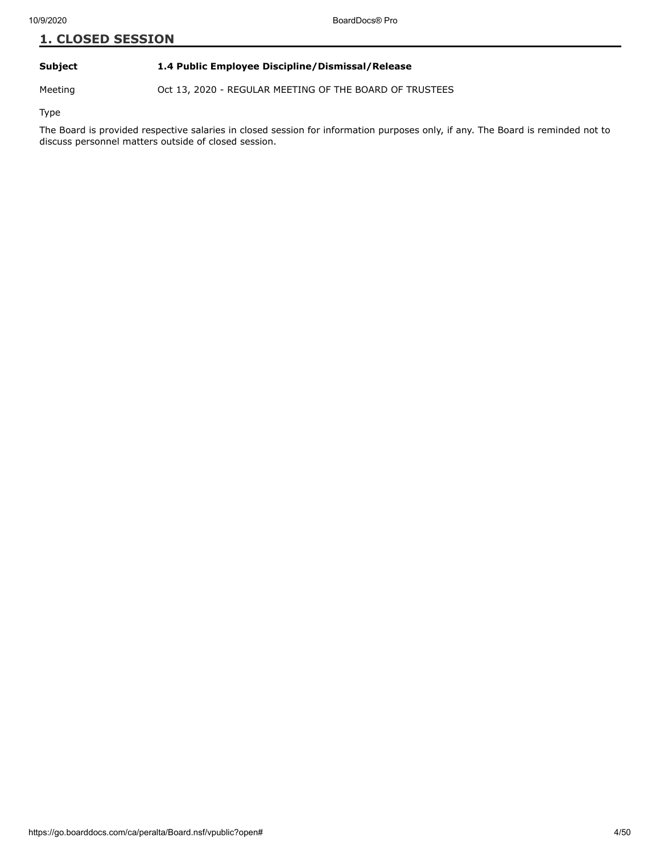# **Subject 1.4 Public Employee Discipline/Dismissal/Release**

Meeting Oct 13, 2020 - REGULAR MEETING OF THE BOARD OF TRUSTEES

Type

The Board is provided respective salaries in closed session for information purposes only, if any. The Board is reminded not to discuss personnel matters outside of closed session.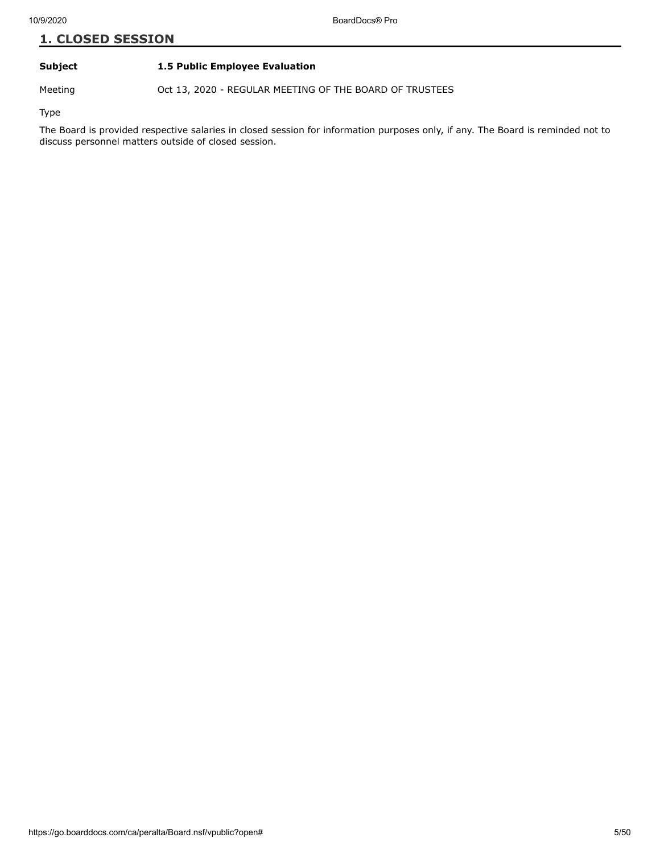# **Subject 1.5 Public Employee Evaluation**

Meeting Oct 13, 2020 - REGULAR MEETING OF THE BOARD OF TRUSTEES

Type

The Board is provided respective salaries in closed session for information purposes only, if any. The Board is reminded not to discuss personnel matters outside of closed session.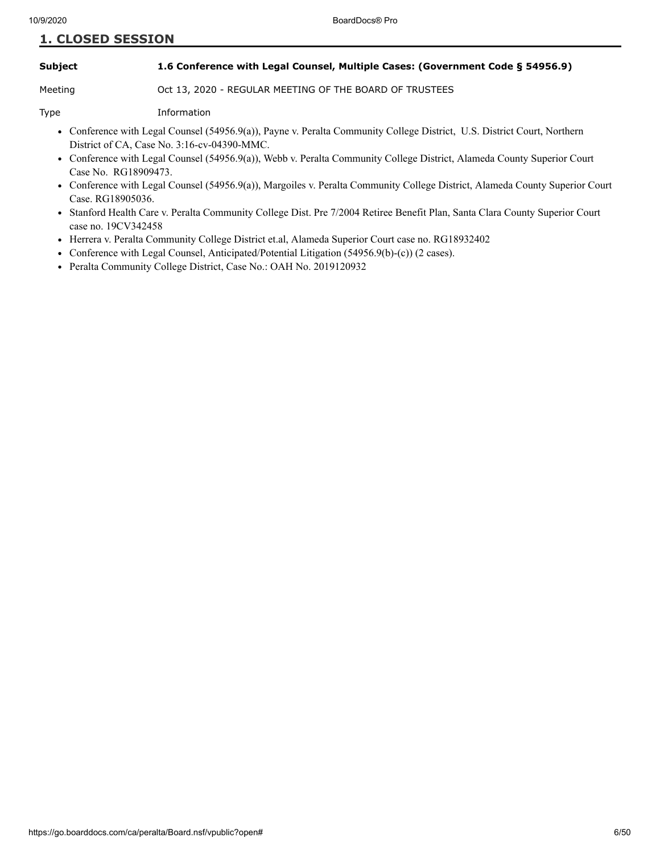**Subject 1.6 Conference with Legal Counsel, Multiple Cases: (Government Code § 54956.9)**

Meeting  $Oct 13$ , 2020 - REGULAR MEETING OF THE BOARD OF TRUSTEES

Type Information

- Conference with Legal Counsel (54956.9(a)), Payne v. Peralta Community College District, U.S. District Court, Northern District of CA, Case No. 3:16-cv-04390-MMC.
- Conference with Legal Counsel (54956.9(a)), Webb v. Peralta Community College District, Alameda County Superior Court Case No. RG18909473.
- Conference with Legal Counsel (54956.9(a)), Margoiles v. Peralta Community College District, Alameda County Superior Court Case. RG18905036.
- Stanford Health Care v. Peralta Community College Dist. Pre 7/2004 Retiree Benefit Plan, Santa Clara County Superior Court case no. 19CV342458
- Herrera v. Peralta Community College District et.al, Alameda Superior Court case no. RG18932402
- Conference with Legal Counsel, Anticipated/Potential Litigation (54956.9(b)-(c)) (2 cases).
- Peralta Community College District, Case No.: OAH No. 2019120932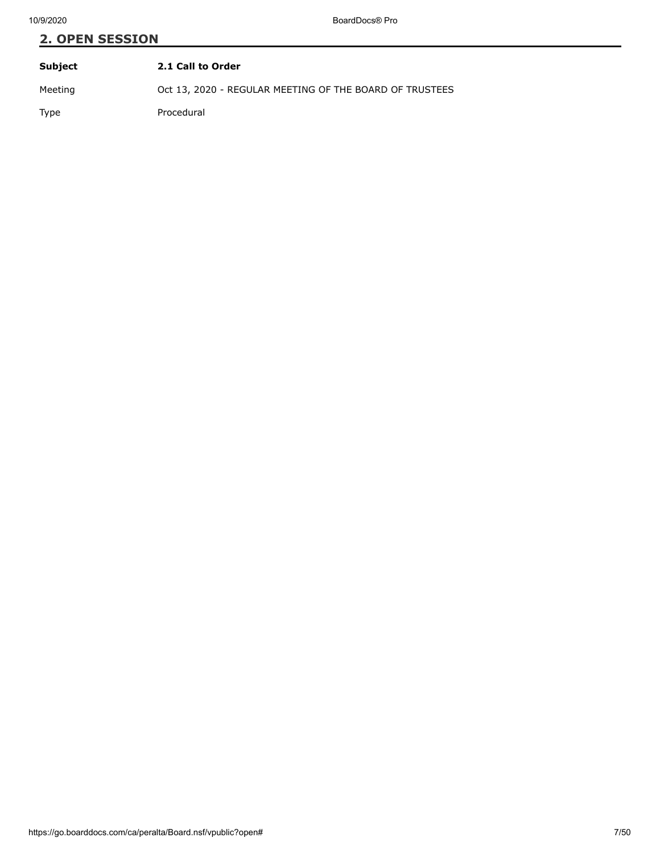# **2. OPEN SESSION Subject 2.1 Call to Order**

Meeting Oct 13, 2020 - REGULAR MEETING OF THE BOARD OF TRUSTEES

Type Procedural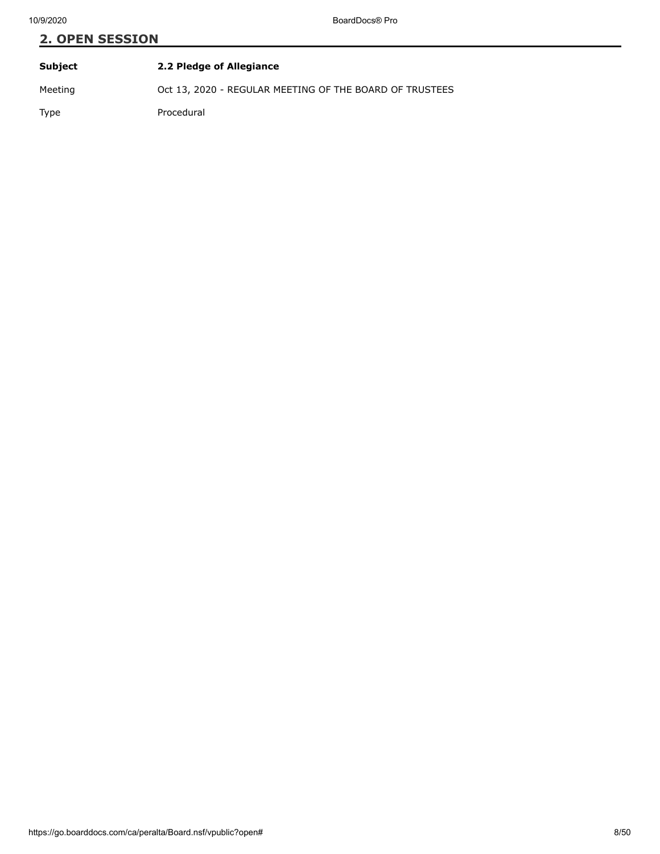| Subject | 2.2 Pledge of Allegiance                                |
|---------|---------------------------------------------------------|
| Meeting | Oct 13, 2020 - REGULAR MEETING OF THE BOARD OF TRUSTEES |
| Type    | Procedural                                              |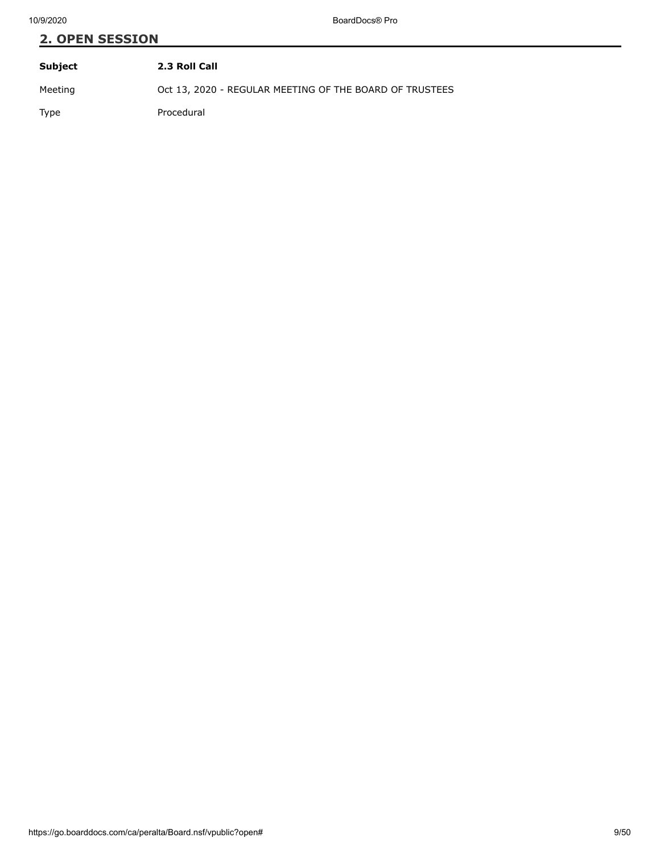| Subject | 2.3 Roll Call                                           |
|---------|---------------------------------------------------------|
| Meeting | Oct 13, 2020 - REGULAR MEETING OF THE BOARD OF TRUSTEES |
| Type    | Procedural                                              |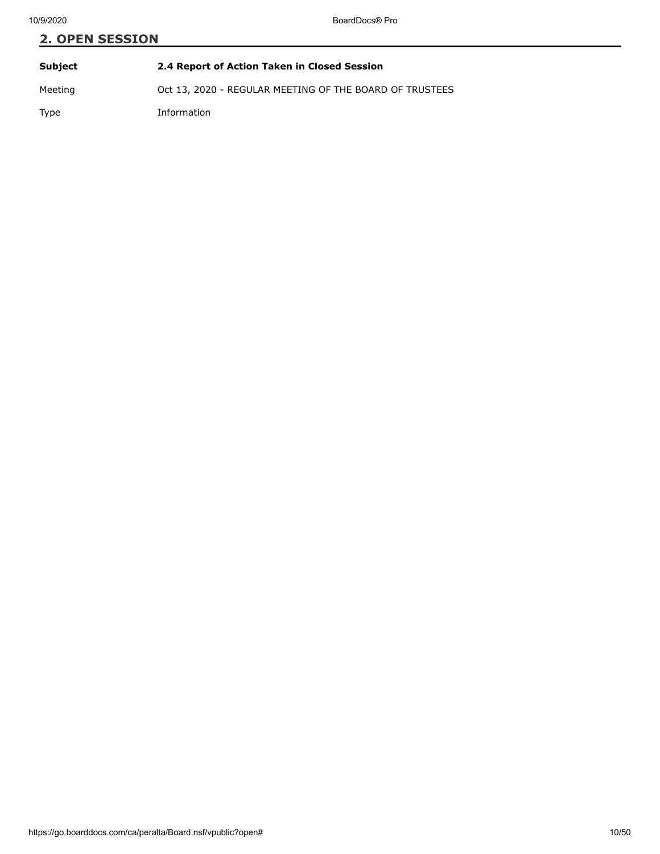# **2. OPEN SESSION Subject 2.4 Report of Action Taken in Closed Session** Meeting Oct 13, 2020 - REGULAR MEETING OF THE BOARD OF TRUSTEES

Type Information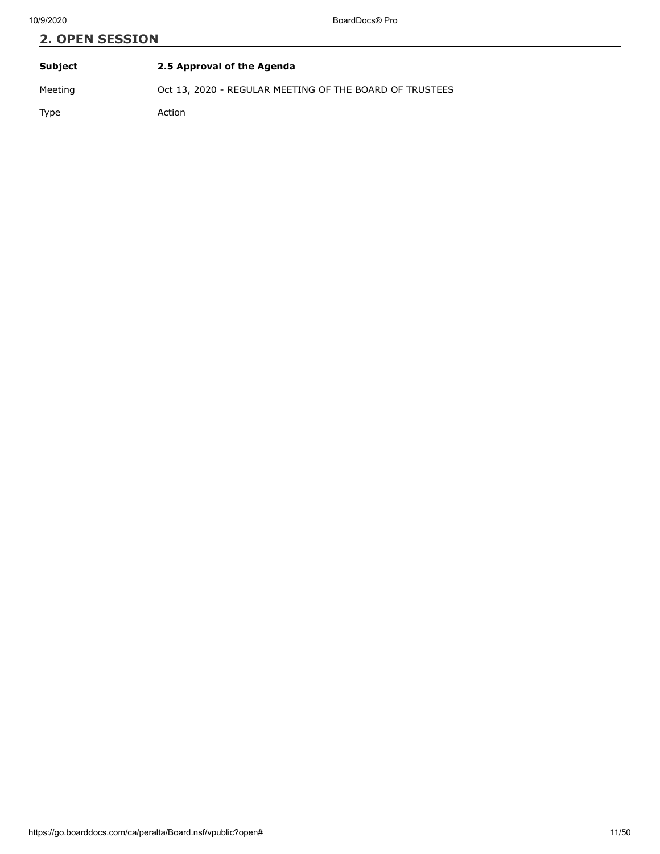| Subject | 2.5 Approval of the Agenda                              |
|---------|---------------------------------------------------------|
| Meeting | Oct 13, 2020 - REGULAR MEETING OF THE BOARD OF TRUSTEES |
| Type    | Action                                                  |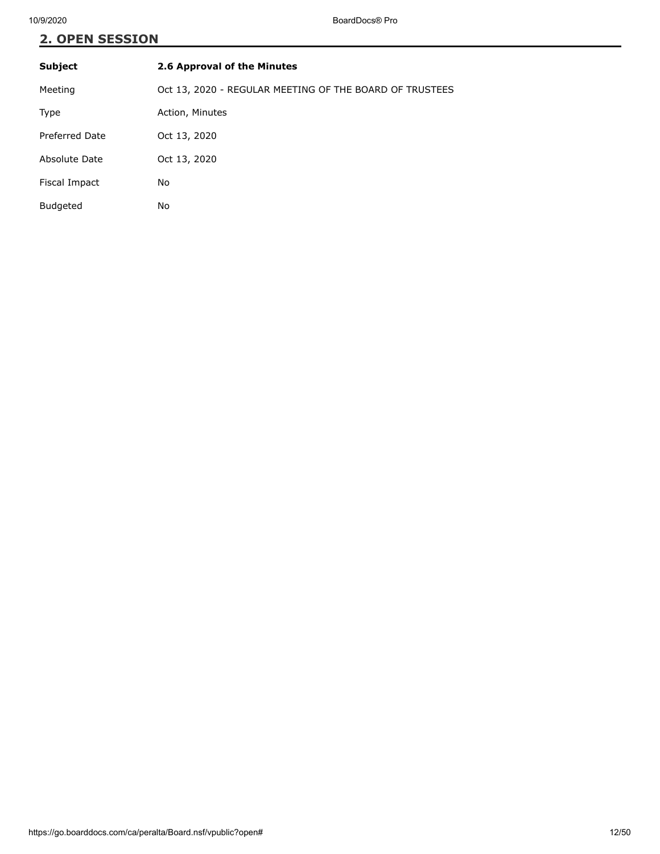| <b>Subject</b>        | 2.6 Approval of the Minutes                             |
|-----------------------|---------------------------------------------------------|
| Meeting               | Oct 13, 2020 - REGULAR MEETING OF THE BOARD OF TRUSTEES |
| Type                  | Action, Minutes                                         |
| <b>Preferred Date</b> | Oct 13, 2020                                            |
| Absolute Date         | Oct 13, 2020                                            |
| Fiscal Impact         | No                                                      |
| <b>Budgeted</b>       | No                                                      |
|                       |                                                         |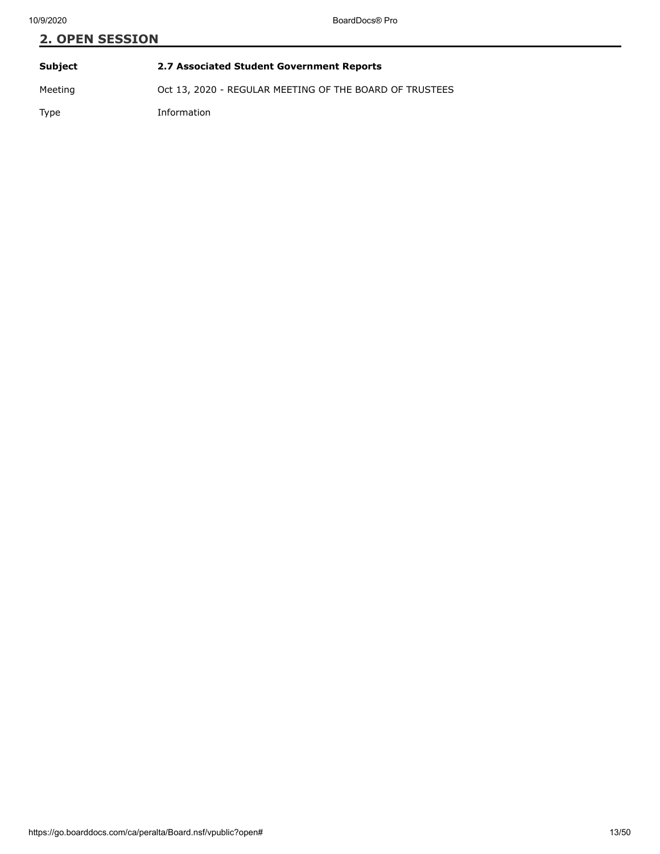# **2. OPEN SESSION Subject 2.7 Associated Student Government Reports** Meeting Oct 13, 2020 - REGULAR MEETING OF THE BOARD OF TRUSTEES

Type Information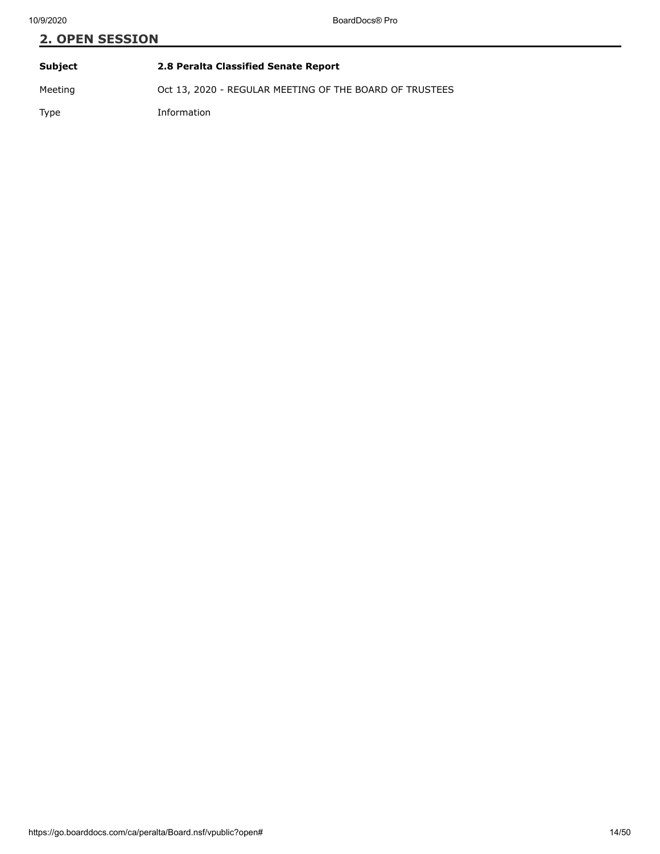| Subject | 2.8 Peralta Classified Senate Report                    |
|---------|---------------------------------------------------------|
| Meeting | Oct 13, 2020 - REGULAR MEETING OF THE BOARD OF TRUSTEES |
| Type    | Information                                             |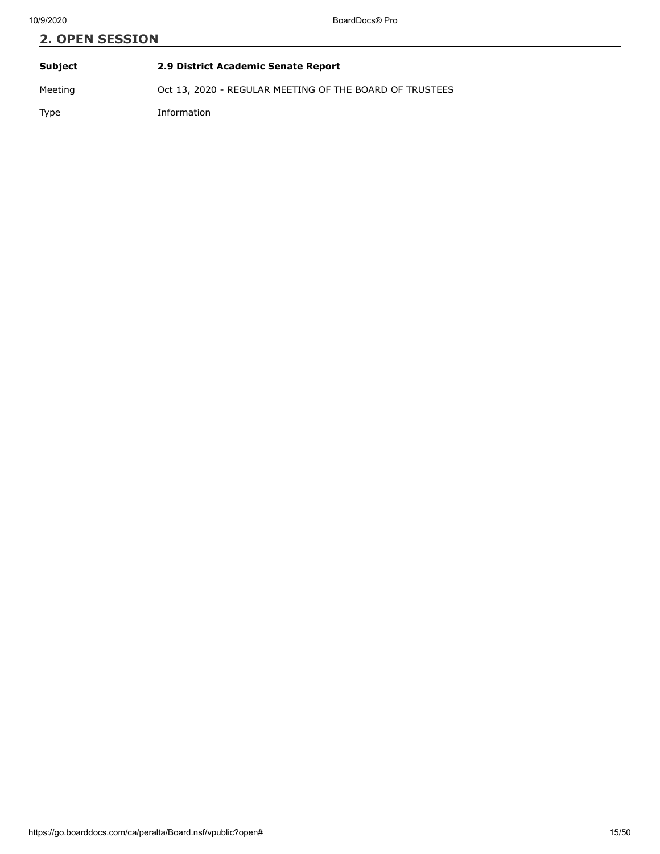**Subject 2.9 District Academic Senate Report** Meeting Oct 13, 2020 - REGULAR MEETING OF THE BOARD OF TRUSTEES

Type Information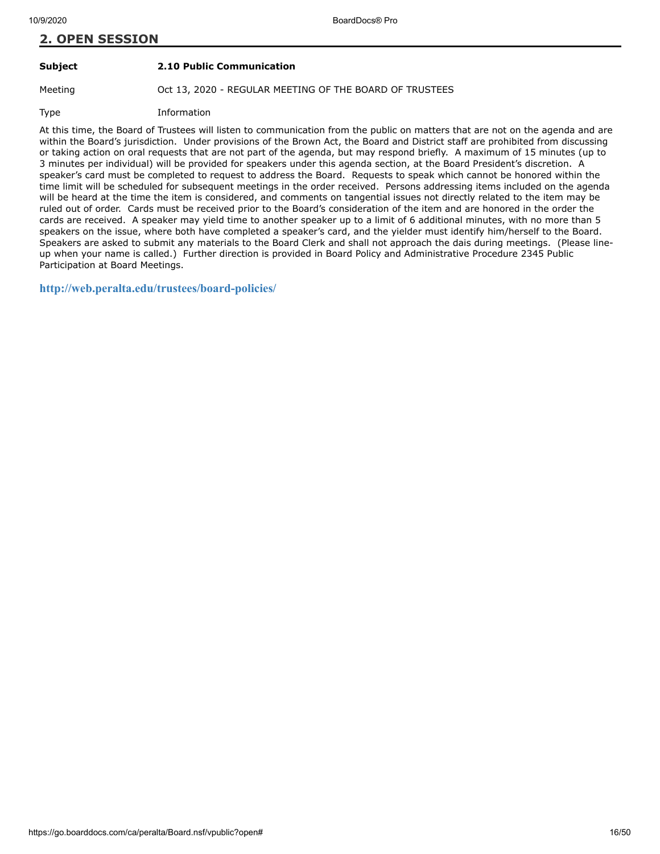### **Subject 2.10 Public Communication**

Meeting  $Oct$  13, 2020 - REGULAR MEETING OF THE BOARD OF TRUSTEES

Type Information

At this time, the Board of Trustees will listen to communication from the public on matters that are not on the agenda and are within the Board's jurisdiction. Under provisions of the Brown Act, the Board and District staff are prohibited from discussing or taking action on oral requests that are not part of the agenda, but may respond briefly. A maximum of 15 minutes (up to 3 minutes per individual) will be provided for speakers under this agenda section, at the Board President's discretion. A speaker's card must be completed to request to address the Board. Requests to speak which cannot be honored within the time limit will be scheduled for subsequent meetings in the order received. Persons addressing items included on the agenda will be heard at the time the item is considered, and comments on tangential issues not directly related to the item may be ruled out of order. Cards must be received prior to the Board's consideration of the item and are honored in the order the cards are received. A speaker may yield time to another speaker up to a limit of 6 additional minutes, with no more than 5 speakers on the issue, where both have completed a speaker's card, and the yielder must identify him/herself to the Board. Speakers are asked to submit any materials to the Board Clerk and shall not approach the dais during meetings. (Please lineup when your name is called.) Further direction is provided in Board Policy and Administrative Procedure 2345 Public Participation at Board Meetings.

**<http://web.peralta.edu/trustees/board-policies/>**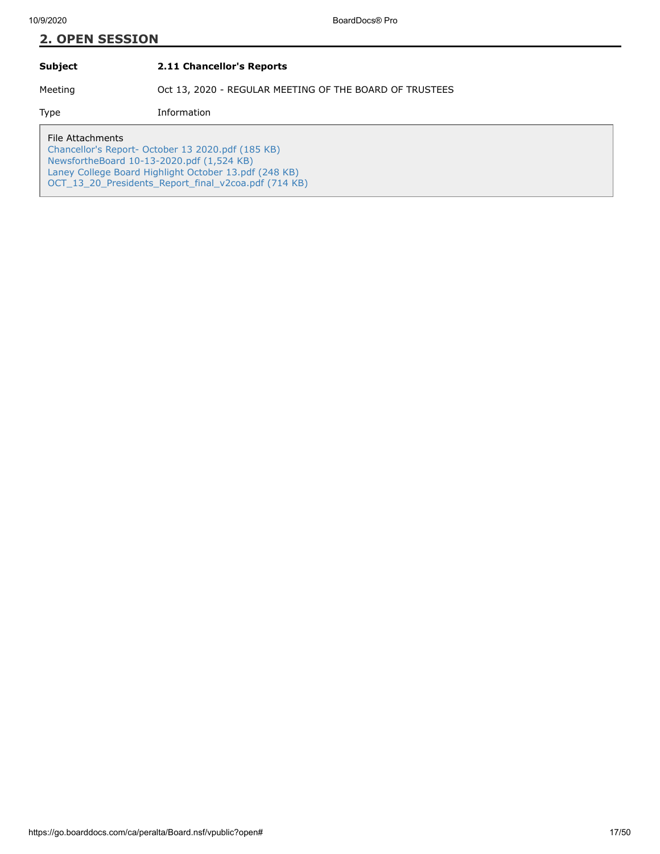**Subject 2.11 Chancellor's Reports**

Meeting Oct 13, 2020 - REGULAR MEETING OF THE BOARD OF TRUSTEES

Type Information

# File Attachments

[Chancellor's Report- October 13 2020.pdf \(185 KB\)](https://go.boarddocs.com/ca/peralta/Board.nsf/files/BU7THV778168/$file/Chancellor) [NewsfortheBoard 10-13-2020.pdf \(1,524 KB\)](https://go.boarddocs.com/ca/peralta/Board.nsf/files/BU82BT016DFE/$file/NewsfortheBoard%2010-13-2020.pdf) [Laney College Board Highlight October 13.pdf \(248 KB\)](https://go.boarddocs.com/ca/peralta/Board.nsf/files/BU8Q4X64A363/$file/Laney%20College%20Board%20Highlight%20October%2013.pdf) [OCT\\_13\\_20\\_Presidents\\_Report\\_final\\_v2coa.pdf \(714 KB\)](https://go.boarddocs.com/ca/peralta/Board.nsf/files/BU8Q5364AB55/$file/OCT_13_20_Presidents_Report_final_v2coa.pdf)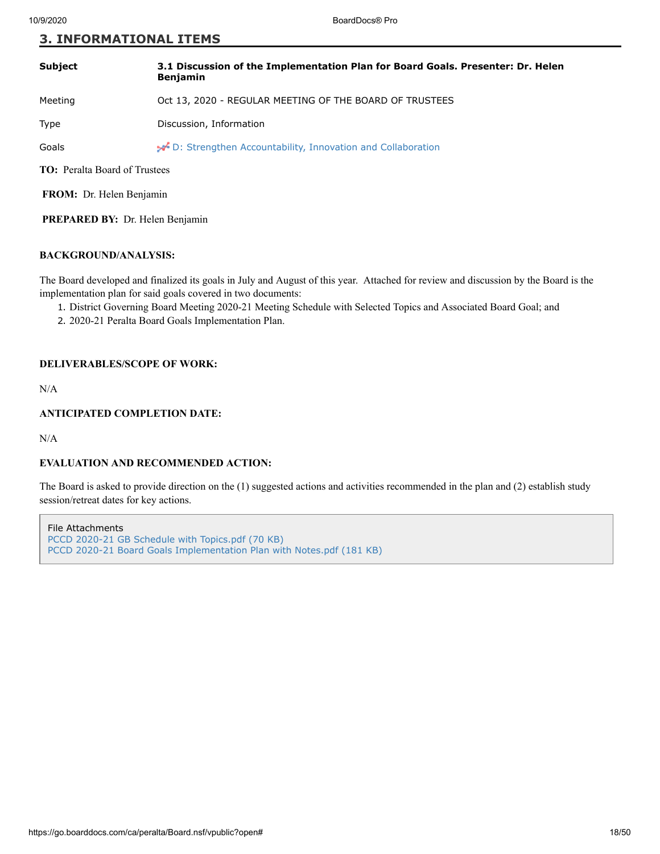| Subject                              | 3.1 Discussion of the Implementation Plan for Board Goals. Presenter: Dr. Helen<br><b>Benjamin</b> |
|--------------------------------------|----------------------------------------------------------------------------------------------------|
| Meetina                              | Oct 13, 2020 - REGULAR MEETING OF THE BOARD OF TRUSTEES                                            |
| Type                                 | Discussion, Information                                                                            |
| Goals                                | D: Strengthen Accountability, Innovation and Collaboration                                         |
| <b>TO:</b> Peralta Board of Trustees |                                                                                                    |
| FROM: Dr. Helen Benjamin             |                                                                                                    |

 **PREPARED BY:** Dr. Helen Benjamin

# **BACKGROUND/ANALYSIS:**

The Board developed and finalized its goals in July and August of this year. Attached for review and discussion by the Board is the implementation plan for said goals covered in two documents:

1. District Governing Board Meeting 2020-21 Meeting Schedule with Selected Topics and Associated Board Goal; and

2. 2020-21 Peralta Board Goals Implementation Plan.

# **DELIVERABLES/SCOPE OF WORK:**

N/A

# **ANTICIPATED COMPLETION DATE:**

N/A

# **EVALUATION AND RECOMMENDED ACTION:**

The Board is asked to provide direction on the (1) suggested actions and activities recommended in the plan and (2) establish study session/retreat dates for key actions.

File Attachments [PCCD 2020-21 GB Schedule with Topics.pdf \(70 KB\)](https://go.boarddocs.com/ca/peralta/Board.nsf/files/BTYQ33673D2D/$file/PCCD%202020-21%20GB%20Schedule%20with%20Topics.pdf) [PCCD 2020-21 Board Goals Implementation Plan with Notes.pdf \(181 KB\)](https://go.boarddocs.com/ca/peralta/Board.nsf/files/BTYQ3U6763E2/$file/PCCD%202020-21%20Board%20Goals%20Implementation%20Plan%20with%20Notes.pdf)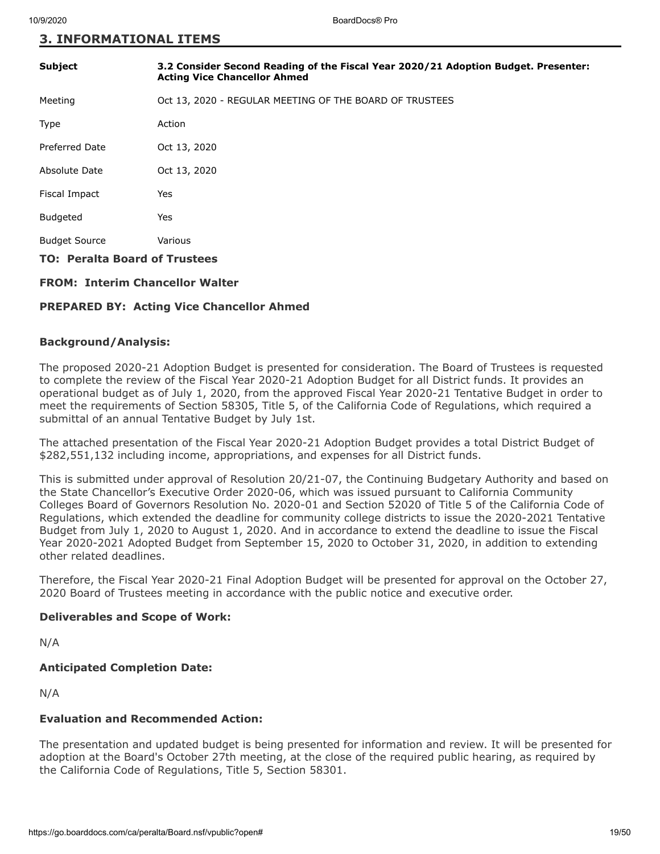| <b>Subject</b>                         | 3.2 Consider Second Reading of the Fiscal Year 2020/21 Adoption Budget. Presenter:<br><b>Acting Vice Chancellor Ahmed</b> |
|----------------------------------------|---------------------------------------------------------------------------------------------------------------------------|
| Meeting                                | Oct 13, 2020 - REGULAR MEETING OF THE BOARD OF TRUSTEES                                                                   |
| Type                                   | Action                                                                                                                    |
| Preferred Date                         | Oct 13, 2020                                                                                                              |
| Absolute Date                          | Oct 13, 2020                                                                                                              |
| Fiscal Impact                          | Yes                                                                                                                       |
| <b>Budgeted</b>                        | Yes                                                                                                                       |
| <b>Budget Source</b>                   | Various                                                                                                                   |
| <b>TO: Peralta Board of Trustees</b>   |                                                                                                                           |
| <b>FROM: Interim Chancellor Walter</b> |                                                                                                                           |

# **PREPARED BY: Acting Vice Chancellor Ahmed**

# **Background/Analysis:**

The proposed 2020-21 Adoption Budget is presented for consideration. The Board of Trustees is requested to complete the review of the Fiscal Year 2020-21 Adoption Budget for all District funds. It provides an operational budget as of July 1, 2020, from the approved Fiscal Year 2020-21 Tentative Budget in order to meet the requirements of Section 58305, Title 5, of the California Code of Regulations, which required a submittal of an annual Tentative Budget by July 1st.

The attached presentation of the Fiscal Year 2020-21 Adoption Budget provides a total District Budget of \$282,551,132 including income, appropriations, and expenses for all District funds.

This is submitted under approval of Resolution 20/21-07, the Continuing Budgetary Authority and based on the State Chancellor's Executive Order 2020-06, which was issued pursuant to California Community Colleges Board of Governors Resolution No. 2020-01 and Section 52020 of Title 5 of the California Code of Regulations, which extended the deadline for community college districts to issue the 2020-2021 Tentative Budget from July 1, 2020 to August 1, 2020. And in accordance to extend the deadline to issue the Fiscal Year 2020-2021 Adopted Budget from September 15, 2020 to October 31, 2020, in addition to extending other related deadlines.

Therefore, the Fiscal Year 2020-21 Final Adoption Budget will be presented for approval on the October 27, 2020 Board of Trustees meeting in accordance with the public notice and executive order.

# **Deliverables and Scope of Work:**

N/A

# **Anticipated Completion Date:**

N/A

# **Evaluation and Recommended Action:**

The presentation and updated budget is being presented for information and review. It will be presented for adoption at the Board's October 27th meeting, at the close of the required public hearing, as required by the California Code of Regulations, Title 5, Section 58301.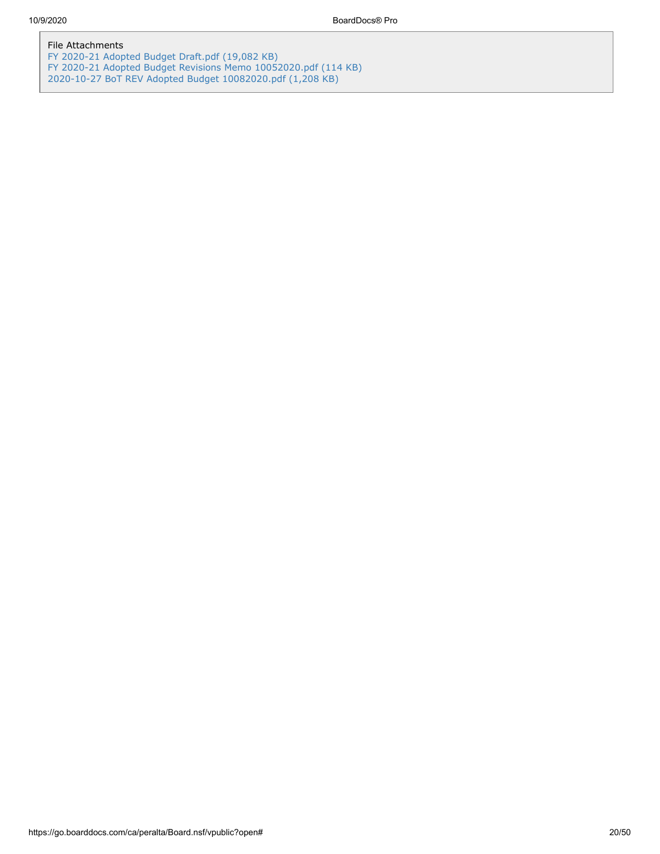File Attachments [FY 2020-21 Adopted Budget Draft.pdf \(19,082 KB\)](https://go.boarddocs.com/ca/peralta/Board.nsf/files/BTZV9L7FA444/$file/FY%202020-21%20Adopted%20Budget%20Draft.pdf) [FY 2020-21 Adopted Budget Revisions Memo 10052020.pdf \(114 KB\)](https://go.boarddocs.com/ca/peralta/Board.nsf/files/BU6RXP70019C/$file/FY%202020-21%20Adopted%20Budget%20Revisions%20Memo%2010052020.pdf) [2020-10-27 BoT REV Adopted Budget 10082020.pdf \(1,208 KB\)](https://go.boarddocs.com/ca/peralta/Board.nsf/files/BU7V9V7FB5C3/$file/2020-10-27%20BoT%20REV%20Adopted%20Budget%2010082020.pdf)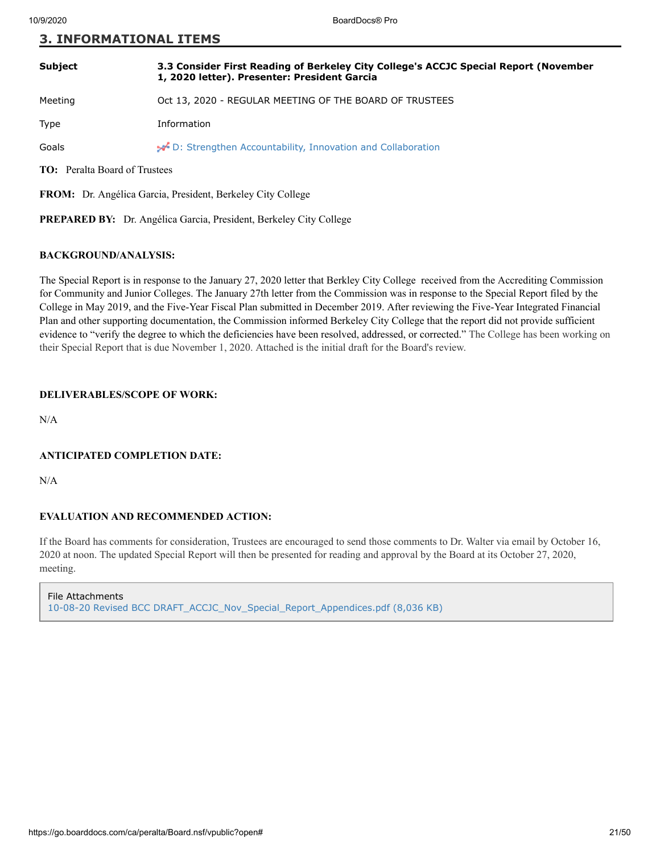| <b>Subject</b>                                              | 3.3 Consider First Reading of Berkeley City College's ACCJC Special Report (November<br>1, 2020 letter). Presenter: President Garcia |
|-------------------------------------------------------------|--------------------------------------------------------------------------------------------------------------------------------------|
| Meeting                                                     | Oct 13, 2020 - REGULAR MEETING OF THE BOARD OF TRUSTEES                                                                              |
| Type                                                        | Information                                                                                                                          |
| Goals                                                       | D: Strengthen Accountability, Innovation and Collaboration                                                                           |
| <b>TO:</b> Peralta Board of Trustees                        |                                                                                                                                      |
| FROM: Dr. Angélica Garcia, President, Berkeley City College |                                                                                                                                      |

**PREPARED BY:** Dr. Angélica Garcia, President, Berkeley City College

# **BACKGROUND/ANALYSIS:**

The Special Report is in response to the January 27, 2020 letter that Berkley City College received from the Accrediting Commission for Community and Junior Colleges. The January 27th letter from the Commission was in response to the Special Report filed by the College in May 2019, and the Five-Year Fiscal Plan submitted in December 2019. After reviewing the Five-Year Integrated Financial Plan and other supporting documentation, the Commission informed Berkeley City College that the report did not provide sufficient evidence to "verify the degree to which the deficiencies have been resolved, addressed, or corrected." The College has been working on their Special Report that is due November 1, 2020. Attached is the initial draft for the Board's review.

# **DELIVERABLES/SCOPE OF WORK:**

N/A

# **ANTICIPATED COMPLETION DATE:**

N/A

# **EVALUATION AND RECOMMENDED ACTION:**

If the Board has comments for consideration, Trustees are encouraged to send those comments to Dr. Walter via email by October 16, 2020 at noon. The updated Special Report will then be presented for reading and approval by the Board at its October 27, 2020, meeting.

File Attachments [10-08-20 Revised BCC DRAFT\\_ACCJC\\_Nov\\_Special\\_Report\\_Appendices.pdf \(8,036 KB\)](https://go.boarddocs.com/ca/peralta/Board.nsf/files/BU7NSU614A8C/$file/10-08-20%20Revised%20BCC%20DRAFT_ACCJC_Nov_Special_Report_Appendices.pdf)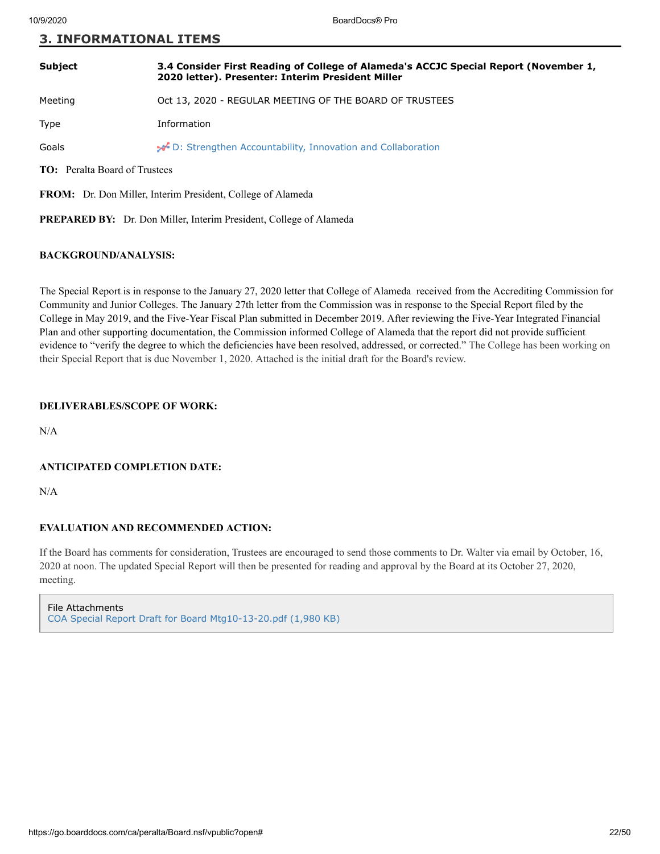| <b>Subject</b>                                                     | 3.4 Consider First Reading of College of Alameda's ACCJC Special Report (November 1,<br>2020 letter). Presenter: Interim President Miller |
|--------------------------------------------------------------------|-------------------------------------------------------------------------------------------------------------------------------------------|
| Meeting                                                            | Oct 13, 2020 - REGULAR MEETING OF THE BOARD OF TRUSTEES                                                                                   |
| Type                                                               | Information                                                                                                                               |
| Goals                                                              | D: Strengthen Accountability, Innovation and Collaboration                                                                                |
| <b>TO:</b> Peralta Board of Trustees                               |                                                                                                                                           |
| <b>FROM:</b> Dr. Don Miller, Interim President, College of Alameda |                                                                                                                                           |

**PREPARED BY:** Dr. Don Miller, Interim President, College of Alameda

# **BACKGROUND/ANALYSIS:**

The Special Report is in response to the January 27, 2020 letter that College of Alameda received from the Accrediting Commission for Community and Junior Colleges. The January 27th letter from the Commission was in response to the Special Report filed by the College in May 2019, and the Five-Year Fiscal Plan submitted in December 2019. After reviewing the Five-Year Integrated Financial Plan and other supporting documentation, the Commission informed College of Alameda that the report did not provide sufficient evidence to "verify the degree to which the deficiencies have been resolved, addressed, or corrected." The College has been working on their Special Report that is due November 1, 2020. Attached is the initial draft for the Board's review.

## **DELIVERABLES/SCOPE OF WORK:**

N/A

# **ANTICIPATED COMPLETION DATE:**

N/A

# **EVALUATION AND RECOMMENDED ACTION:**

If the Board has comments for consideration, Trustees are encouraged to send those comments to Dr. Walter via email by October, 16, 2020 at noon. The updated Special Report will then be presented for reading and approval by the Board at its October 27, 2020, meeting.

# File Attachments [COA Special Report Draft for Board Mtg10-13-20.pdf \(1,980 KB\)](https://go.boarddocs.com/ca/peralta/Board.nsf/files/BU7NSK612E14/$file/COA%20Special%20Report%20Draft%20for%20Board%20Mtg10-13-20.pdf)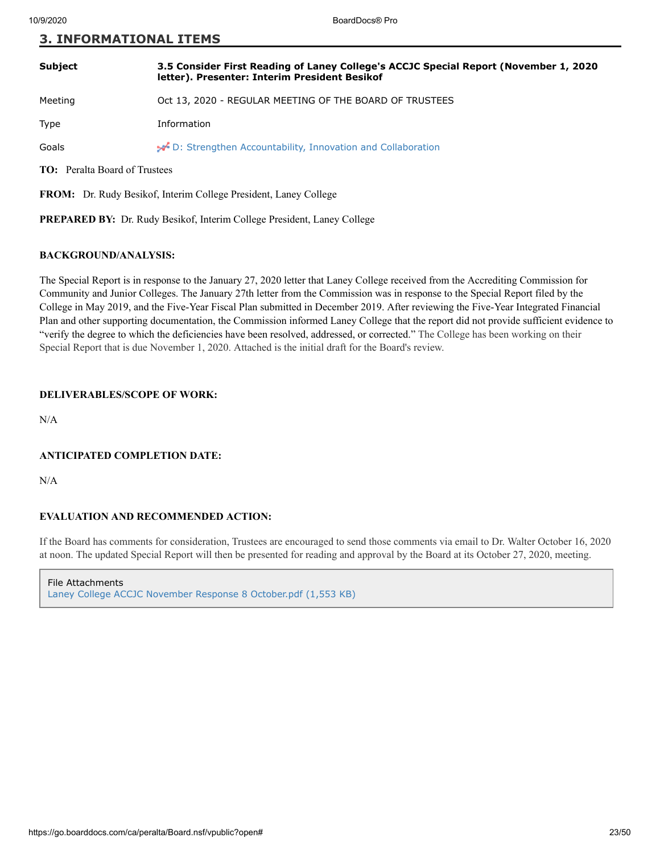| <b>Subject</b>                                                          | 3.5 Consider First Reading of Laney College's ACCJC Special Report (November 1, 2020<br>letter). Presenter: Interim President Besikof |
|-------------------------------------------------------------------------|---------------------------------------------------------------------------------------------------------------------------------------|
| Meeting                                                                 | Oct 13, 2020 - REGULAR MEETING OF THE BOARD OF TRUSTEES                                                                               |
| Type                                                                    | Information                                                                                                                           |
| Goals                                                                   | D: Strengthen Accountability, Innovation and Collaboration                                                                            |
| <b>TO:</b> Peralta Board of Trustees                                    |                                                                                                                                       |
| <b>FROM:</b> Dr. Rudy Besikof, Interim College President, Laney College |                                                                                                                                       |

**PREPARED BY:** Dr. Rudy Besikof, Interim College President, Laney College

# **BACKGROUND/ANALYSIS:**

The Special Report is in response to the January 27, 2020 letter that Laney College received from the Accrediting Commission for Community and Junior Colleges. The January 27th letter from the Commission was in response to the Special Report filed by the College in May 2019, and the Five-Year Fiscal Plan submitted in December 2019. After reviewing the Five-Year Integrated Financial Plan and other supporting documentation, the Commission informed Laney College that the report did not provide sufficient evidence to "verify the degree to which the deficiencies have been resolved, addressed, or corrected." The College has been working on their Special Report that is due November 1, 2020. Attached is the initial draft for the Board's review.

# **DELIVERABLES/SCOPE OF WORK:**

N/A

# **ANTICIPATED COMPLETION DATE:**

N/A

# **EVALUATION AND RECOMMENDED ACTION:**

If the Board has comments for consideration, Trustees are encouraged to send those comments via email to Dr. Walter October 16, 2020 at noon. The updated Special Report will then be presented for reading and approval by the Board at its October 27, 2020, meeting.

File Attachments [Laney College ACCJC November Response 8 October.pdf \(1,553 KB\)](https://go.boarddocs.com/ca/peralta/Board.nsf/files/BU84EZ0B4644/$file/Laney%20College%20ACCJC%20November%20Response%208%20October.pdf)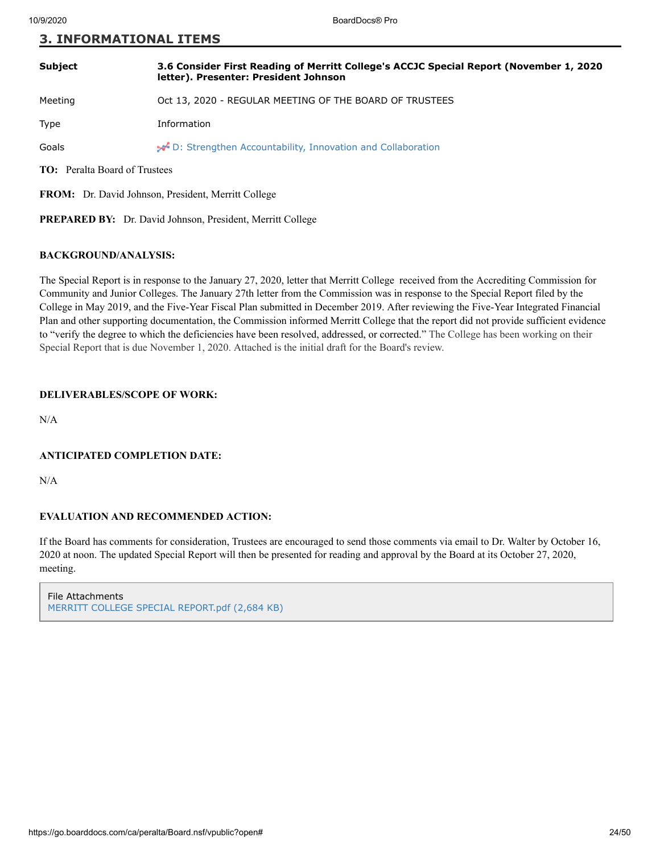| <b>Subject</b>                                      | 3.6 Consider First Reading of Merritt College's ACCJC Special Report (November 1, 2020<br>letter). Presenter: President Johnson |
|-----------------------------------------------------|---------------------------------------------------------------------------------------------------------------------------------|
| Meeting                                             | Oct 13, 2020 - REGULAR MEETING OF THE BOARD OF TRUSTEES                                                                         |
| Type                                                | Information                                                                                                                     |
| Goals                                               | D: Strengthen Accountability, Innovation and Collaboration                                                                      |
| <b>TO:</b> Peralta Board of Trustees                |                                                                                                                                 |
| FROM: Dr. David Johnson, President, Merritt College |                                                                                                                                 |

**PREPARED BY:** Dr. David Johnson, President, Merritt College

# **BACKGROUND/ANALYSIS:**

The Special Report is in response to the January 27, 2020, letter that Merritt College received from the Accrediting Commission for Community and Junior Colleges. The January 27th letter from the Commission was in response to the Special Report filed by the College in May 2019, and the Five-Year Fiscal Plan submitted in December 2019. After reviewing the Five-Year Integrated Financial Plan and other supporting documentation, the Commission informed Merritt College that the report did not provide sufficient evidence to "verify the degree to which the deficiencies have been resolved, addressed, or corrected." The College has been working on their Special Report that is due November 1, 2020. Attached is the initial draft for the Board's review.

# **DELIVERABLES/SCOPE OF WORK:**

N/A

# **ANTICIPATED COMPLETION DATE:**

N/A

# **EVALUATION AND RECOMMENDED ACTION:**

If the Board has comments for consideration, Trustees are encouraged to send those comments via email to Dr. Walter by October 16, 2020 at noon. The updated Special Report will then be presented for reading and approval by the Board at its October 27, 2020, meeting.

File Attachments [MERRITT COLLEGE SPECIAL REPORT.pdf \(2,684 KB\)](https://go.boarddocs.com/ca/peralta/Board.nsf/files/BU7SNN7382D3/$file/MERRITT%20COLLEGE%20SPECIAL%20REPORT.pdf)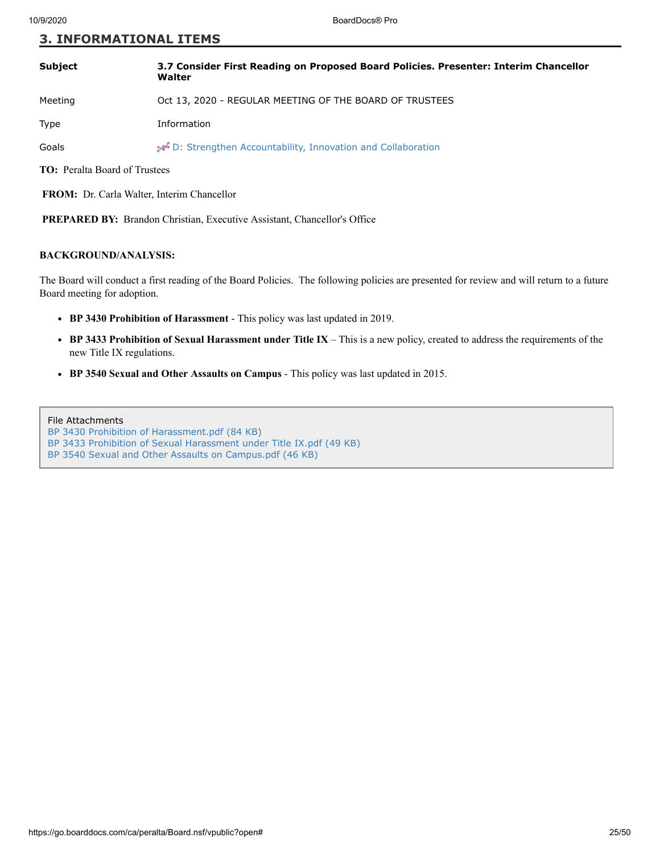| <b>Subject</b>                       | 3.7 Consider First Reading on Proposed Board Policies. Presenter: Interim Chancellor<br>Walter |
|--------------------------------------|------------------------------------------------------------------------------------------------|
| Meeting                              | Oct 13, 2020 - REGULAR MEETING OF THE BOARD OF TRUSTEES                                        |
| Type                                 | Information                                                                                    |
| Goals                                | D: Strengthen Accountability, Innovation and Collaboration                                     |
| <b>TO:</b> Peralta Board of Trustees |                                                                                                |

 **FROM:** Dr. Carla Walter, Interim Chancellor

 **PREPARED BY:** Brandon Christian, Executive Assistant, Chancellor's Office

# **BACKGROUND/ANALYSIS:**

The Board will conduct a first reading of the Board Policies. The following policies are presented for review and will return to a future Board meeting for adoption.

- **BP 3430 Prohibition of Harassment** This policy was last updated in 2019.
- BP 3433 Prohibition of Sexual Harassment under Title IX This is a new policy, created to address the requirements of the new Title IX regulations.
- **BP 3540 Sexual and Other Assaults on Campus** This policy was last updated in 2015.

File Attachments

- [BP 3430 Prohibition of Harassment.pdf \(84 KB\)](https://go.boarddocs.com/ca/peralta/Board.nsf/files/BU7SY4748927/$file/BP%203430%20Prohibition%20of%20Harassment.pdf)
- [BP 3433 Prohibition of Sexual Harassment under Title IX.pdf \(49 KB\)](https://go.boarddocs.com/ca/peralta/Board.nsf/files/BTXRTD6F85D9/$file/BP%203433%20Prohibition%20of%20Sexual%20Harassment%20under%20Title%20IX.pdf)

[BP 3540 Sexual and Other Assaults on Campus.pdf \(46 KB\)](https://go.boarddocs.com/ca/peralta/Board.nsf/files/BU7SY6748BE5/$file/BP%203540%20Sexual%20and%20Other%20Assaults%20on%20Campus.pdf)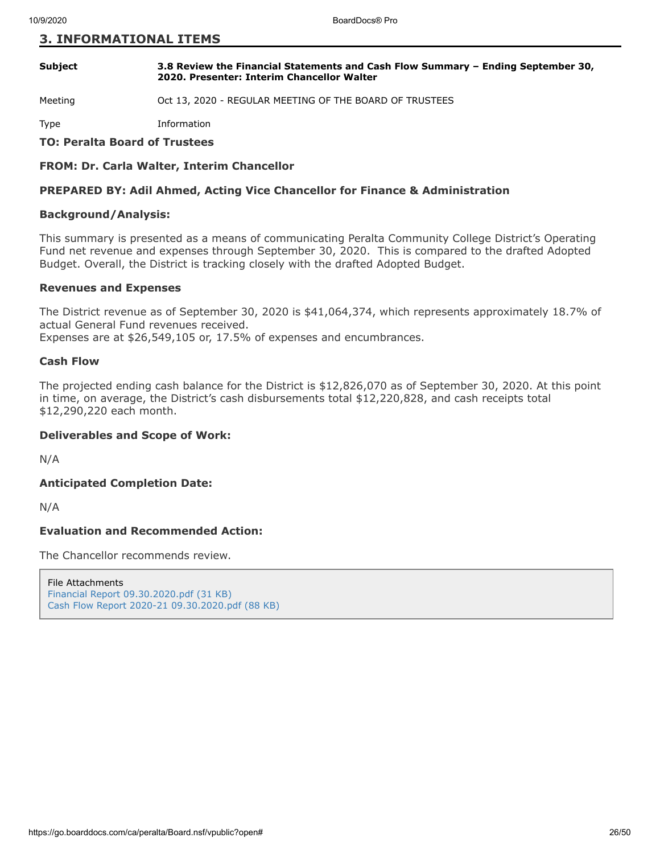# **Subject 3.8 Review the Financial Statements and Cash Flow Summary – Ending September 30, 2020. Presenter: Interim Chancellor Walter**

Meeting  $Oct 13$ , 2020 - REGULAR MEETING OF THE BOARD OF TRUSTEES

Type Information

**TO: Peralta Board of Trustees**

# **FROM: Dr. Carla Walter, Interim Chancellor**

# **PREPARED BY: Adil Ahmed, Acting Vice Chancellor for Finance & Administration**

# **Background/Analysis:**

This summary is presented as a means of communicating Peralta Community College District's Operating Fund net revenue and expenses through September 30, 2020. This is compared to the drafted Adopted Budget. Overall, the District is tracking closely with the drafted Adopted Budget.

# **Revenues and Expenses**

The District revenue as of September 30, 2020 is \$41,064,374, which represents approximately 18.7% of actual General Fund revenues received. Expenses are at \$26,549,105 or, 17.5% of expenses and encumbrances.

# **Cash Flow**

The projected ending cash balance for the District is \$12,826,070 as of September 30, 2020. At this point in time, on average, the District's cash disbursements total \$12,220,828, and cash receipts total \$12,290,220 each month.

# **Deliverables and Scope of Work:**

N/A

**Anticipated Completion Date:**

N/A

# **Evaluation and Recommended Action:**

The Chancellor recommends review.

```
File Attachments
Financial Report 09.30.2020.pdf (31 KB)
Cash Flow Report 2020-21 09.30.2020.pdf (88 KB)
```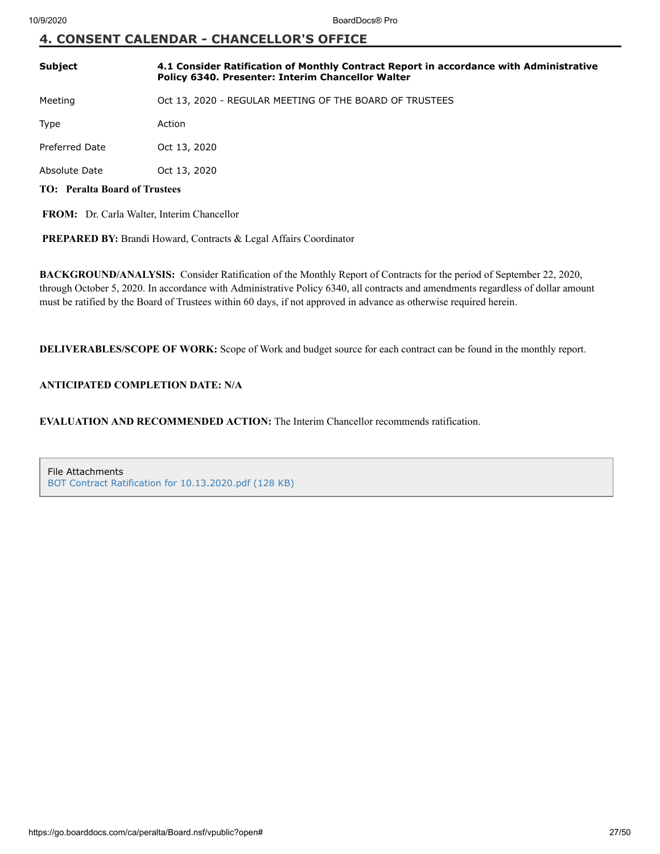# **4. CONSENT CALENDAR - CHANCELLOR'S OFFICE**

| <b>Subject</b>                                    | 4.1 Consider Ratification of Monthly Contract Report in accordance with Administrative<br>Policy 6340. Presenter: Interim Chancellor Walter |  |
|---------------------------------------------------|---------------------------------------------------------------------------------------------------------------------------------------------|--|
| Meeting                                           | Oct 13, 2020 - REGULAR MEETING OF THE BOARD OF TRUSTEES                                                                                     |  |
| Type                                              | Action                                                                                                                                      |  |
| Preferred Date                                    | Oct 13, 2020                                                                                                                                |  |
| Absolute Date                                     | Oct 13, 2020                                                                                                                                |  |
| <b>TO:</b> Peralta Board of Trustees              |                                                                                                                                             |  |
| <b>FROM:</b> Dr. Carla Walter, Interim Chancellor |                                                                                                                                             |  |

 **PREPARED BY:** Brandi Howard, Contracts & Legal Affairs Coordinator

**BACKGROUND/ANALYSIS:** Consider Ratification of the Monthly Report of Contracts for the period of September 22, 2020, through October 5, 2020. In accordance with Administrative Policy 6340, all contracts and amendments regardless of dollar amount must be ratified by the Board of Trustees within 60 days, if not approved in advance as otherwise required herein.

**DELIVERABLES/SCOPE OF WORK:** Scope of Work and budget source for each contract can be found in the monthly report.

# **ANTICIPATED COMPLETION DATE: N/A**

**EVALUATION AND RECOMMENDED ACTION:** The Interim Chancellor recommends ratification.

File Attachments [BOT Contract Ratification for 10.13.2020.pdf \(128 KB\)](https://go.boarddocs.com/ca/peralta/Board.nsf/files/BU4UNF7CDD26/$file/BOT%20Contract%20Ratification%20for%2010.13.2020.pdf)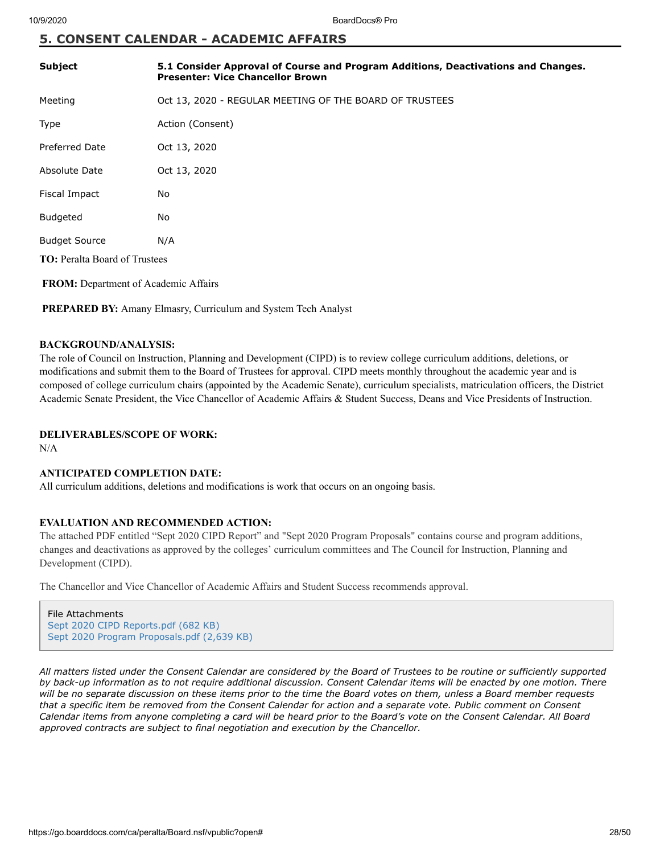# **5. CONSENT CALENDAR - ACADEMIC AFFAIRS**

| <b>Subject</b>                       | 5.1 Consider Approval of Course and Program Additions, Deactivations and Changes.<br><b>Presenter: Vice Chancellor Brown</b> |  |
|--------------------------------------|------------------------------------------------------------------------------------------------------------------------------|--|
| Meeting                              | Oct 13, 2020 - REGULAR MEETING OF THE BOARD OF TRUSTEES                                                                      |  |
| Type                                 | Action (Consent)                                                                                                             |  |
| <b>Preferred Date</b>                | Oct 13, 2020                                                                                                                 |  |
| Absolute Date                        | Oct 13, 2020                                                                                                                 |  |
| Fiscal Impact                        | No                                                                                                                           |  |
| <b>Budgeted</b>                      | No                                                                                                                           |  |
| <b>Budget Source</b>                 | N/A                                                                                                                          |  |
| <b>TO:</b> Peralta Board of Trustees |                                                                                                                              |  |

 **FROM:** Department of Academic Affairs

 **PREPARED BY:** Amany Elmasry, Curriculum and System Tech Analyst

# **BACKGROUND/ANALYSIS:**

The role of Council on Instruction, Planning and Development (CIPD) is to review college curriculum additions, deletions, or modifications and submit them to the Board of Trustees for approval. CIPD meets monthly throughout the academic year and is composed of college curriculum chairs (appointed by the Academic Senate), curriculum specialists, matriculation officers, the District Academic Senate President, the Vice Chancellor of Academic Affairs & Student Success, Deans and Vice Presidents of Instruction.

# **DELIVERABLES/SCOPE OF WORK:**

N/A

### **ANTICIPATED COMPLETION DATE:**

All curriculum additions, deletions and modifications is work that occurs on an ongoing basis.

# **EVALUATION AND RECOMMENDED ACTION:**

The attached PDF entitled "Sept 2020 CIPD Report" and "Sept 2020 Program Proposals" contains course and program additions, changes and deactivations as approved by the colleges' curriculum committees and The Council for Instruction, Planning and Development (CIPD).

The Chancellor and Vice Chancellor of Academic Affairs and Student Success recommends approval.

File Attachments [Sept 2020 CIPD Reports.pdf \(682 KB\)](https://go.boarddocs.com/ca/peralta/Board.nsf/files/BTQQVS6AF45E/$file/Sept%202020%20CIPD%20Reports.pdf) [Sept 2020 Program Proposals.pdf \(2,639 KB\)](https://go.boarddocs.com/ca/peralta/Board.nsf/files/BTQQW56AFFF0/$file/Sept%202020%20Program%20Proposals.pdf)

*All matters listed under the Consent Calendar are considered by the Board of Trustees to be routine or sufficiently supported by back-up information as to not require additional discussion. Consent Calendar items will be enacted by one motion. There will be no separate discussion on these items prior to the time the Board votes on them, unless a Board member requests that a specific item be removed from the Consent Calendar for action and a separate vote. Public comment on Consent Calendar items from anyone completing a card will be heard prior to the Board's vote on the Consent Calendar. All Board approved contracts are subject to final negotiation and execution by the Chancellor.*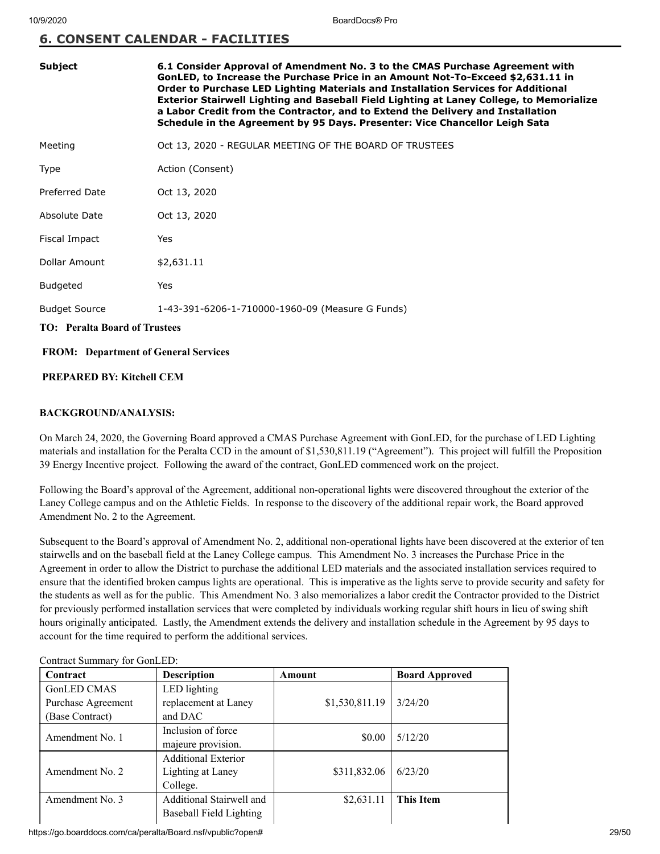# **6. CONSENT CALENDAR - FACILITIES**

| <b>Subject</b>                       | 6.1 Consider Approval of Amendment No. 3 to the CMAS Purchase Agreement with<br>GonLED, to Increase the Purchase Price in an Amount Not-To-Exceed \$2,631.11 in<br>Order to Purchase LED Lighting Materials and Installation Services for Additional<br>Exterior Stairwell Lighting and Baseball Field Lighting at Laney College, to Memorialize<br>a Labor Credit from the Contractor, and to Extend the Delivery and Installation<br>Schedule in the Agreement by 95 Days. Presenter: Vice Chancellor Leigh Sata |  |
|--------------------------------------|--------------------------------------------------------------------------------------------------------------------------------------------------------------------------------------------------------------------------------------------------------------------------------------------------------------------------------------------------------------------------------------------------------------------------------------------------------------------------------------------------------------------|--|
| Meeting                              | Oct 13, 2020 - REGULAR MEETING OF THE BOARD OF TRUSTEES                                                                                                                                                                                                                                                                                                                                                                                                                                                            |  |
| Type                                 | Action (Consent)                                                                                                                                                                                                                                                                                                                                                                                                                                                                                                   |  |
| Preferred Date                       | Oct 13, 2020                                                                                                                                                                                                                                                                                                                                                                                                                                                                                                       |  |
| Absolute Date                        | Oct 13, 2020                                                                                                                                                                                                                                                                                                                                                                                                                                                                                                       |  |
| Fiscal Impact                        | Yes                                                                                                                                                                                                                                                                                                                                                                                                                                                                                                                |  |
| Dollar Amount                        | \$2,631.11                                                                                                                                                                                                                                                                                                                                                                                                                                                                                                         |  |
| <b>Budgeted</b>                      | Yes                                                                                                                                                                                                                                                                                                                                                                                                                                                                                                                |  |
| <b>Budget Source</b>                 | 1-43-391-6206-1-710000-1960-09 (Measure G Funds)                                                                                                                                                                                                                                                                                                                                                                                                                                                                   |  |
| <b>TO: Peralta Board of Trustees</b> |                                                                                                                                                                                                                                                                                                                                                                                                                                                                                                                    |  |

# **FROM: Department of General Services**

# **PREPARED BY: Kitchell CEM**

# **BACKGROUND/ANALYSIS:**

On March 24, 2020, the Governing Board approved a CMAS Purchase Agreement with GonLED, for the purchase of LED Lighting materials and installation for the Peralta CCD in the amount of \$1,530,811.19 ("Agreement"). This project will fulfill the Proposition 39 Energy Incentive project. Following the award of the contract, GonLED commenced work on the project.

Following the Board's approval of the Agreement, additional non-operational lights were discovered throughout the exterior of the Laney College campus and on the Athletic Fields. In response to the discovery of the additional repair work, the Board approved Amendment No. 2 to the Agreement.

Subsequent to the Board's approval of Amendment No. 2, additional non-operational lights have been discovered at the exterior of ten stairwells and on the baseball field at the Laney College campus. This Amendment No. 3 increases the Purchase Price in the Agreement in order to allow the District to purchase the additional LED materials and the associated installation services required to ensure that the identified broken campus lights are operational. This is imperative as the lights serve to provide security and safety for the students as well as for the public. This Amendment No. 3 also memorializes a labor credit the Contractor provided to the District for previously performed installation services that were completed by individuals working regular shift hours in lieu of swing shift hours originally anticipated. Lastly, the Amendment extends the delivery and installation schedule in the Agreement by 95 days to account for the time required to perform the additional services.

| Contract           | <b>Description</b>         | Amount         | <b>Board Approved</b> |  |
|--------------------|----------------------------|----------------|-----------------------|--|
| GonLED CMAS        | LED lighting               |                |                       |  |
| Purchase Agreement | replacement at Laney       | \$1,530,811.19 | 3/24/20               |  |
| (Base Contract)    | and DAC                    |                |                       |  |
| Amendment No. 1    | Inclusion of force         | \$0.00         | 5/12/20               |  |
|                    | majeure provision.         |                |                       |  |
|                    | <b>Additional Exterior</b> |                |                       |  |
| Amendment No. 2    | Lighting at Laney          | \$311,832.06   | 6/23/20               |  |
|                    | College.                   |                |                       |  |
| Amendment No. 3    | Additional Stairwell and   | \$2,631.11     | <b>This Item</b>      |  |
|                    | Baseball Field Lighting    |                |                       |  |
|                    |                            |                |                       |  |

Contract Summary for GonLED:

https://go.boarddocs.com/ca/peralta/Board.nsf/vpublic?open# 29/50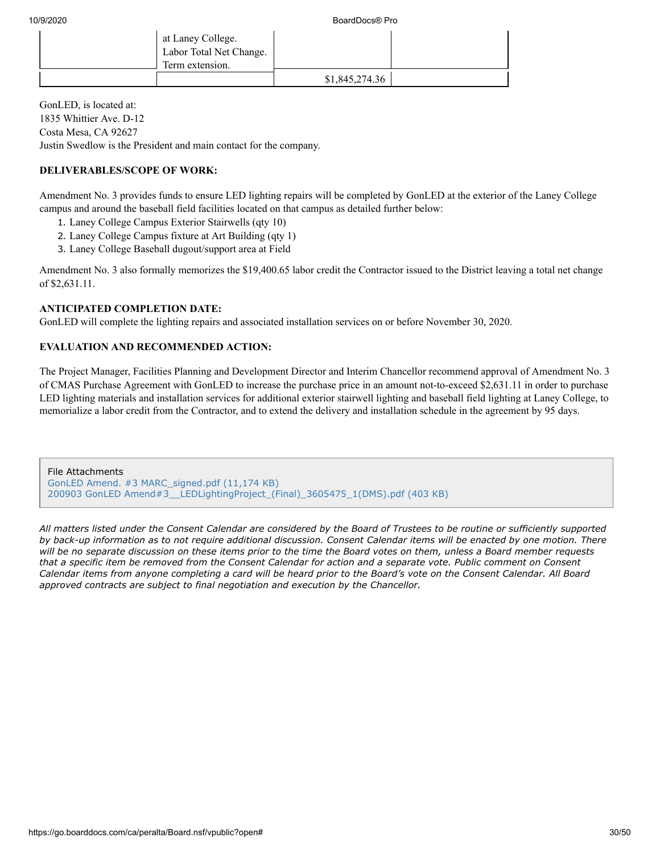10/9/2020 BoardDocs® Pro

| at Laney College.<br>Labor Total Net Change.<br>Term extension. |                |  |
|-----------------------------------------------------------------|----------------|--|
|                                                                 | \$1,845,274.36 |  |

GonLED, is located at: 1835 Whittier Ave. D-12 Costa Mesa, CA 92627 Justin Swedlow is the President and main contact for the company.

# **DELIVERABLES/SCOPE OF WORK:**

Amendment No. 3 provides funds to ensure LED lighting repairs will be completed by GonLED at the exterior of the Laney College campus and around the baseball field facilities located on that campus as detailed further below:

- 1. Laney College Campus Exterior Stairwells (qty 10)
- 2. Laney College Campus fixture at Art Building (qty 1)
- 3. Laney College Baseball dugout/support area at Field

Amendment No. 3 also formally memorizes the \$19,400.65 labor credit the Contractor issued to the District leaving a total net change of \$2,631.11.

# **ANTICIPATED COMPLETION DATE:**

GonLED will complete the lighting repairs and associated installation services on or before November 30, 2020.

# **EVALUATION AND RECOMMENDED ACTION:**

The Project Manager, Facilities Planning and Development Director and Interim Chancellor recommend approval of Amendment No. 3 of CMAS Purchase Agreement with GonLED to increase the purchase price in an amount not-to-exceed \$2,631.11 in order to purchase LED lighting materials and installation services for additional exterior stairwell lighting and baseball field lighting at Laney College, to memorialize a labor credit from the Contractor, and to extend the delivery and installation schedule in the agreement by 95 days.

File Attachments [GonLED Amend. #3 MARC\\_signed.pdf \(11,174 KB\)](https://go.boarddocs.com/ca/peralta/Board.nsf/files/BTXMTB5CB4E9/$file/GonLED%20Amend.%20%233%20MARC_signed.pdf) [200903 GonLED Amend#3\\_\\_LEDLightingProject\\_\(Final\)\\_3605475\\_1\(DMS\).pdf \(403 KB\)](https://go.boarddocs.com/ca/peralta/Board.nsf/files/BTXMTV5CD899/$file/200903%20GonLED%20Amend%233__LEDLightingProject_(Final)_3605475_1(DMS).pdf)

*All matters listed under the Consent Calendar are considered by the Board of Trustees to be routine or sufficiently supported by back-up information as to not require additional discussion. Consent Calendar items will be enacted by one motion. There will be no separate discussion on these items prior to the time the Board votes on them, unless a Board member requests that a specific item be removed from the Consent Calendar for action and a separate vote. Public comment on Consent Calendar items from anyone completing a card will be heard prior to the Board's vote on the Consent Calendar. All Board approved contracts are subject to final negotiation and execution by the Chancellor.*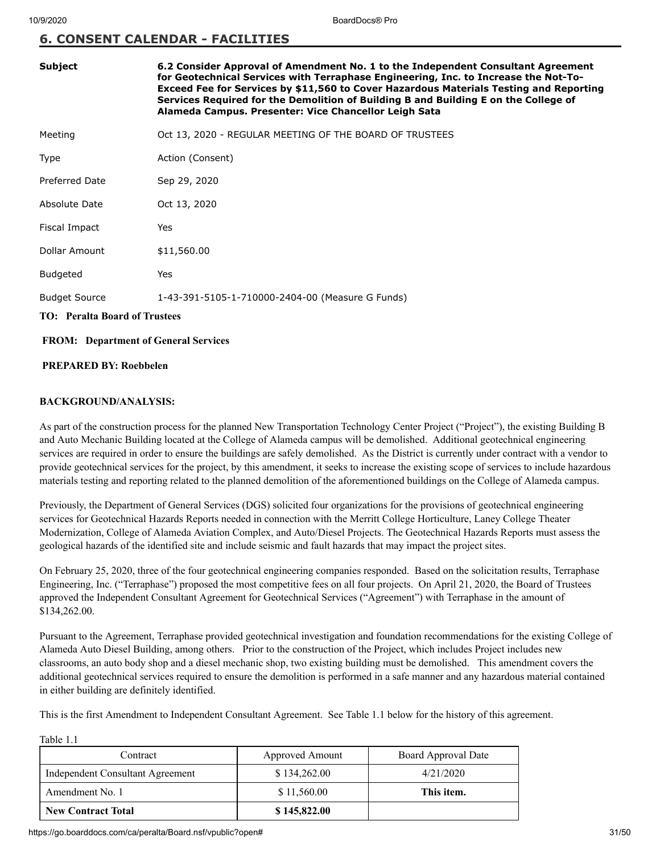# **6. CONSENT CALENDAR - FACILITIES**

| <b>Subject</b>                       | 6.2 Consider Approval of Amendment No. 1 to the Independent Consultant Agreement<br>for Geotechnical Services with Terraphase Engineering, Inc. to Increase the Not-To-<br>Exceed Fee for Services by \$11,560 to Cover Hazardous Materials Testing and Reporting<br>Services Required for the Demolition of Building B and Building E on the College of<br>Alameda Campus. Presenter: Vice Chancellor Leigh Sata |  |
|--------------------------------------|-------------------------------------------------------------------------------------------------------------------------------------------------------------------------------------------------------------------------------------------------------------------------------------------------------------------------------------------------------------------------------------------------------------------|--|
| Meeting                              | Oct 13, 2020 - REGULAR MEETING OF THE BOARD OF TRUSTEES                                                                                                                                                                                                                                                                                                                                                           |  |
| Type                                 | Action (Consent)                                                                                                                                                                                                                                                                                                                                                                                                  |  |
| <b>Preferred Date</b>                | Sep 29, 2020                                                                                                                                                                                                                                                                                                                                                                                                      |  |
| Absolute Date                        | Oct 13, 2020                                                                                                                                                                                                                                                                                                                                                                                                      |  |
| Fiscal Impact                        | Yes                                                                                                                                                                                                                                                                                                                                                                                                               |  |
| Dollar Amount                        | \$11,560.00                                                                                                                                                                                                                                                                                                                                                                                                       |  |
| <b>Budgeted</b>                      | Yes                                                                                                                                                                                                                                                                                                                                                                                                               |  |
| <b>Budget Source</b>                 | 1-43-391-5105-1-710000-2404-00 (Measure G Funds)                                                                                                                                                                                                                                                                                                                                                                  |  |
| <b>TO: Peralta Board of Trustees</b> |                                                                                                                                                                                                                                                                                                                                                                                                                   |  |

# **FROM: Department of General Services**

# **PREPARED BY: Roebbelen**

# **BACKGROUND/ANALYSIS:**

As part of the construction process for the planned New Transportation Technology Center Project ("Project"), the existing Building B and Auto Mechanic Building located at the College of Alameda campus will be demolished. Additional geotechnical engineering services are required in order to ensure the buildings are safely demolished. As the District is currently under contract with a vendor to provide geotechnical services for the project, by this amendment, it seeks to increase the existing scope of services to include hazardous materials testing and reporting related to the planned demolition of the aforementioned buildings on the College of Alameda campus.

Previously, the Department of General Services (DGS) solicited four organizations for the provisions of geotechnical engineering services for Geotechnical Hazards Reports needed in connection with the Merritt College Horticulture, Laney College Theater Modernization, College of Alameda Aviation Complex, and Auto/Diesel Projects. The Geotechnical Hazards Reports must assess the geological hazards of the identified site and include seismic and fault hazards that may impact the project sites.

On February 25, 2020, three of the four geotechnical engineering companies responded. Based on the solicitation results, Terraphase Engineering, Inc. ("Terraphase") proposed the most competitive fees on all four projects. On April 21, 2020, the Board of Trustees approved the Independent Consultant Agreement for Geotechnical Services ("Agreement") with Terraphase in the amount of \$134,262.00.

Pursuant to the Agreement, Terraphase provided geotechnical investigation and foundation recommendations for the existing College of Alameda Auto Diesel Building, among others. Prior to the construction of the Project, which includes Project includes new classrooms, an auto body shop and a diesel mechanic shop, two existing building must be demolished. This amendment covers the additional geotechnical services required to ensure the demolition is performed in a safe manner and any hazardous material contained in either building are definitely identified.

This is the first Amendment to Independent Consultant Agreement. See Table 1.1 below for the history of this agreement.

| Contract                         | Approved Amount | <b>Board Approval Date</b> |
|----------------------------------|-----------------|----------------------------|
| Independent Consultant Agreement | \$134,262.00    | 4/21/2020                  |
| Amendment No. 1                  | \$11,560.00     | This item.                 |
| <b>New Contract Total</b>        | \$145,822.00    |                            |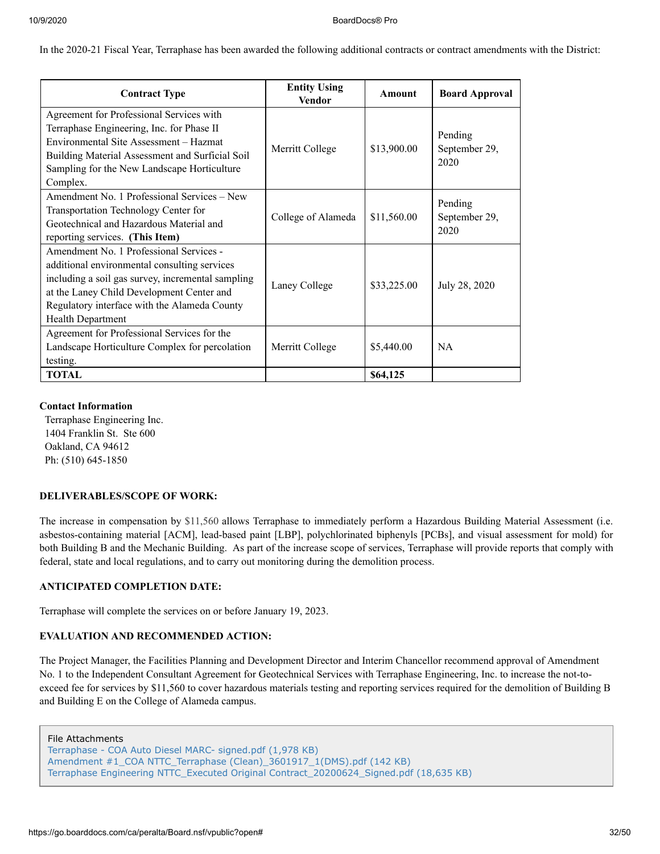In the 2020-21 Fiscal Year, Terraphase has been awarded the following additional contracts or contract amendments with the District:

| <b>Contract Type</b>                                                                                                                                                                                                                                           | <b>Entity Using</b><br><b>Vendor</b> | Amount      | <b>Board Approval</b>            |
|----------------------------------------------------------------------------------------------------------------------------------------------------------------------------------------------------------------------------------------------------------------|--------------------------------------|-------------|----------------------------------|
| Agreement for Professional Services with<br>Terraphase Engineering, Inc. for Phase II<br>Environmental Site Assessment – Hazmat<br>Building Material Assessment and Surficial Soil<br>Sampling for the New Landscape Horticulture<br>Complex.                  | Merritt College                      | \$13,900.00 | Pending<br>September 29,<br>2020 |
| Amendment No. 1 Professional Services – New<br>Transportation Technology Center for<br>Geotechnical and Hazardous Material and<br>reporting services. (This Item)                                                                                              | College of Alameda                   | \$11,560.00 | Pending<br>September 29,<br>2020 |
| Amendment No. 1 Professional Services -<br>additional environmental consulting services<br>including a soil gas survey, incremental sampling<br>at the Laney Child Development Center and<br>Regulatory interface with the Alameda County<br>Health Department | Laney College                        | \$33,225.00 | July 28, 2020                    |
| Agreement for Professional Services for the<br>Landscape Horticulture Complex for percolation<br>testing.                                                                                                                                                      | Merritt College                      | \$5,440.00  | <b>NA</b>                        |
| TOTAL                                                                                                                                                                                                                                                          |                                      | \$64,125    |                                  |

## **Contact Information**

Terraphase Engineering Inc. 1404 Franklin St. Ste 600 Oakland, CA 94612 Ph: (510) 645-1850

# **DELIVERABLES/SCOPE OF WORK:**

The increase in compensation by \$11,560 allows Terraphase to immediately perform a Hazardous Building Material Assessment (i.e. asbestos-containing material [ACM], lead-based paint [LBP], polychlorinated biphenyls [PCBs], and visual assessment for mold) for both Building B and the Mechanic Building. As part of the increase scope of services, Terraphase will provide reports that comply with federal, state and local regulations, and to carry out monitoring during the demolition process.

# **ANTICIPATED COMPLETION DATE:**

Terraphase will complete the services on or before January 19, 2023.

# **EVALUATION AND RECOMMENDED ACTION:**

The Project Manager, the Facilities Planning and Development Director and Interim Chancellor recommend approval of Amendment No. 1 to the Independent Consultant Agreement for Geotechnical Services with Terraphase Engineering, Inc. to increase the not-toexceed fee for services by \$11,560 to cover hazardous materials testing and reporting services required for the demolition of Building B and Building E on the College of Alameda campus.

File Attachments [Terraphase - COA Auto Diesel MARC- signed.pdf \(1,978 KB\)](https://go.boarddocs.com/ca/peralta/Board.nsf/files/BTWSG663E7AF/$file/Terraphase%20-%20COA%20Auto%20Diesel%20MARC-%20signed.pdf) [Amendment #1\\_COA NTTC\\_Terraphase \(Clean\)\\_3601917\\_1\(DMS\).pdf \(142 KB\)](https://go.boarddocs.com/ca/peralta/Board.nsf/files/BTWSGB63F4EE/$file/Amendment%20%231_COA%20NTTC_Terraphase%20(Clean)_3601917_1(DMS).pdf) [Terraphase Engineering NTTC\\_Executed Original Contract\\_20200624\\_Signed.pdf \(18,635 KB\)](https://go.boarddocs.com/ca/peralta/Board.nsf/files/BTWSGQ640D37/$file/Terraphase%20Engineering%20NTTC_Executed%20Original%20Contract_20200624_Signed.pdf)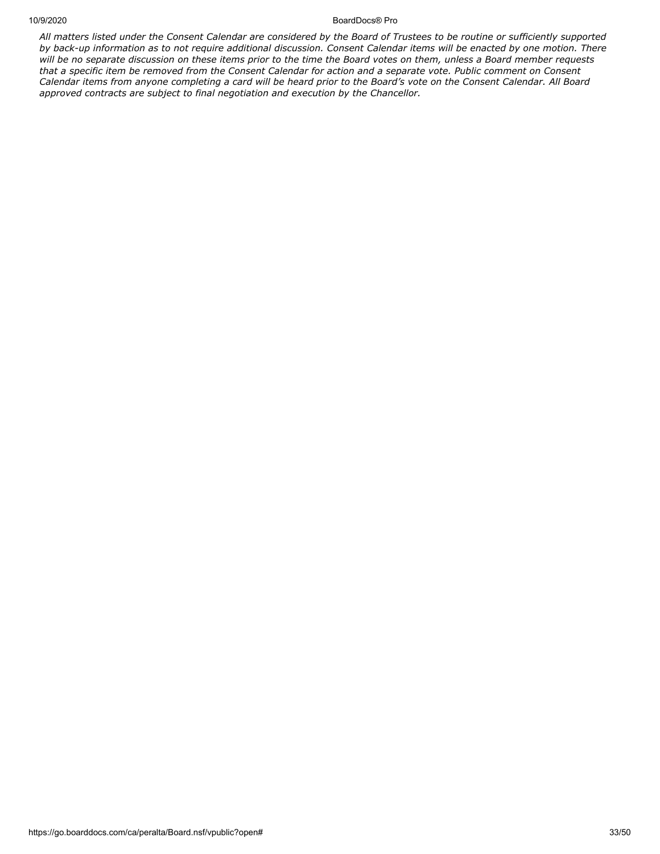#### 10/9/2020 BoardDocs® Pro

*All matters listed under the Consent Calendar are considered by the Board of Trustees to be routine or sufficiently supported by back-up information as to not require additional discussion. Consent Calendar items will be enacted by one motion. There will be no separate discussion on these items prior to the time the Board votes on them, unless a Board member requests that a specific item be removed from the Consent Calendar for action and a separate vote. Public comment on Consent Calendar items from anyone completing a card will be heard prior to the Board's vote on the Consent Calendar. All Board approved contracts are subject to final negotiation and execution by the Chancellor.*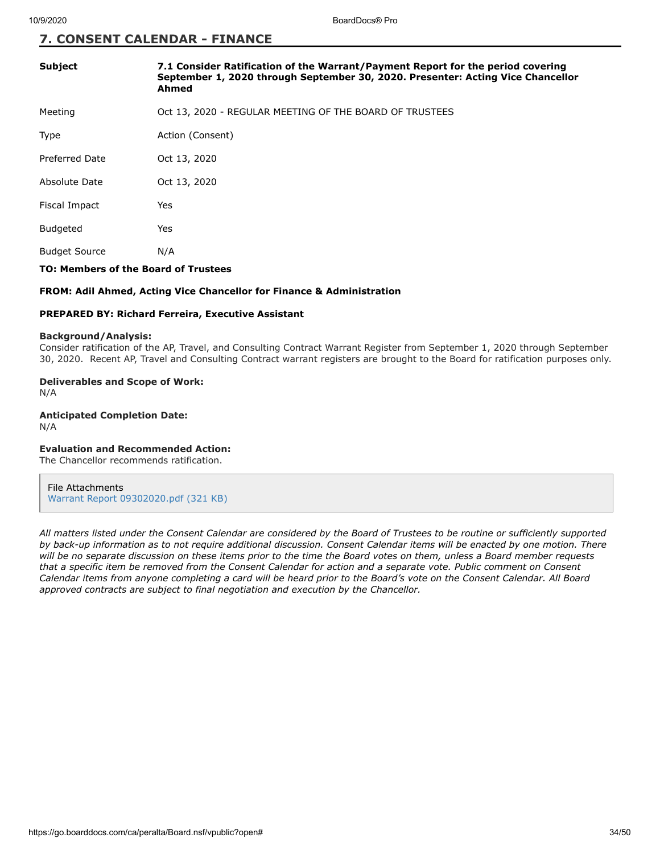# **7. CONSENT CALENDAR - FINANCE**

| <b>Subject</b>       | 7.1 Consider Ratification of the Warrant/Payment Report for the period covering<br>September 1, 2020 through September 30, 2020. Presenter: Acting Vice Chancellor<br><b>Ahmed</b> |
|----------------------|------------------------------------------------------------------------------------------------------------------------------------------------------------------------------------|
| Meeting              | Oct 13, 2020 - REGULAR MEETING OF THE BOARD OF TRUSTEES                                                                                                                            |
| Type                 | Action (Consent)                                                                                                                                                                   |
| Preferred Date       | Oct 13, 2020                                                                                                                                                                       |
| Absolute Date        | Oct 13, 2020                                                                                                                                                                       |
| Fiscal Impact        | Yes                                                                                                                                                                                |
| <b>Budgeted</b>      | Yes                                                                                                                                                                                |
| <b>Budget Source</b> | N/A                                                                                                                                                                                |

# **TO: Members of the Board of Trustees**

#### **FROM: Adil Ahmed, Acting Vice Chancellor for Finance & Administration**

#### **PREPARED BY: Richard Ferreira, Executive Assistant**

#### **Background/Analysis:**

Consider ratification of the AP, Travel, and Consulting Contract Warrant Register from September 1, 2020 through September 30, 2020. Recent AP, Travel and Consulting Contract warrant registers are brought to the Board for ratification purposes only.

# **Deliverables and Scope of Work:**

N/A

#### **Anticipated Completion Date:** N/A

# **Evaluation and Recommended Action:**

The Chancellor recommends ratification.

File Attachments [Warrant Report 09302020.pdf \(321 KB\)](https://go.boarddocs.com/ca/peralta/Board.nsf/files/BU6RL36D8BC9/$file/Warrant%20Report%2009302020.pdf)

*All matters listed under the Consent Calendar are considered by the Board of Trustees to be routine or sufficiently supported by back-up information as to not require additional discussion. Consent Calendar items will be enacted by one motion. There will be no separate discussion on these items prior to the time the Board votes on them, unless a Board member requests that a specific item be removed from the Consent Calendar for action and a separate vote. Public comment on Consent Calendar items from anyone completing a card will be heard prior to the Board's vote on the Consent Calendar. All Board approved contracts are subject to final negotiation and execution by the Chancellor.*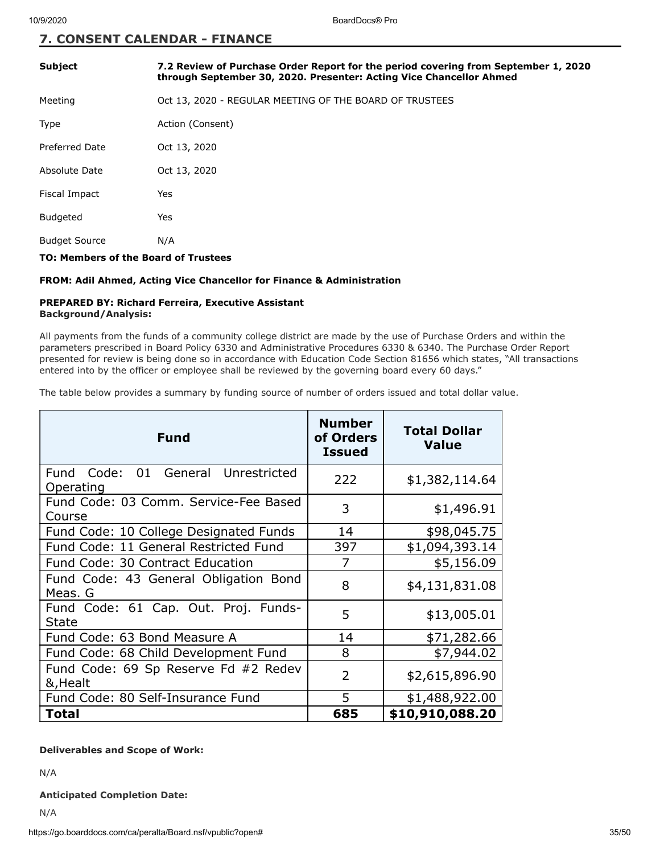# **7. CONSENT CALENDAR - FINANCE**

| <b>Subject</b>                              | 7.2 Review of Purchase Order Report for the period covering from September 1, 2020<br>through September 30, 2020. Presenter: Acting Vice Chancellor Ahmed |  |
|---------------------------------------------|-----------------------------------------------------------------------------------------------------------------------------------------------------------|--|
| Meeting                                     | Oct 13, 2020 - REGULAR MEETING OF THE BOARD OF TRUSTEES                                                                                                   |  |
| Type                                        | Action (Consent)                                                                                                                                          |  |
| <b>Preferred Date</b>                       | Oct 13, 2020                                                                                                                                              |  |
| Absolute Date                               | Oct 13, 2020                                                                                                                                              |  |
| Fiscal Impact                               | Yes                                                                                                                                                       |  |
| <b>Budgeted</b>                             | Yes                                                                                                                                                       |  |
| <b>Budget Source</b>                        | N/A                                                                                                                                                       |  |
| <b>TO: Members of the Board of Trustees</b> |                                                                                                                                                           |  |

# **FROM: Adil Ahmed, Acting Vice Chancellor for Finance & Administration**

# **PREPARED BY: Richard Ferreira, Executive Assistant Background/Analysis:**

All payments from the funds of a community college district are made by the use of Purchase Orders and within the parameters prescribed in Board Policy 6330 and Administrative Procedures 6330 & 6340. The Purchase Order Report presented for review is being done so in accordance with Education Code Section 81656 which states, "All transactions entered into by the officer or employee shall be reviewed by the governing board every 60 days."

The table below provides a summary by funding source of number of orders issued and total dollar value.

| <b>Fund</b>                                          | <b>Number</b><br>of Orders<br>Issued | <b>Total Dollar</b><br><b>Value</b> |
|------------------------------------------------------|--------------------------------------|-------------------------------------|
| Fund Code: 01 General Unrestricted<br>Operating      | 222                                  | \$1,382,114.64                      |
| Fund Code: 03 Comm. Service-Fee Based<br>Course      | 3                                    | \$1,496.91                          |
| Fund Code: 10 College Designated Funds               | 14                                   | \$98,045.75                         |
| Fund Code: 11 General Restricted Fund                | 397                                  | \$1,094,393.14                      |
| Fund Code: 30 Contract Education                     | 7                                    | \$5,156.09                          |
| Fund Code: 43 General Obligation Bond<br>Meas. G     | 8                                    | \$4,131,831.08                      |
| Fund Code: 61 Cap. Out. Proj. Funds-<br><b>State</b> | 5                                    | \$13,005.01                         |
| Fund Code: 63 Bond Measure A                         | 14                                   | \$71,282.66                         |
| Fund Code: 68 Child Development Fund                 | 8                                    | \$7,944.02                          |
| Fund Code: 69 Sp Reserve Fd #2 Redev<br>&, Healt     | $\overline{2}$                       | \$2,615,896.90                      |
| Fund Code: 80 Self-Insurance Fund                    | 5                                    | \$1,488,922.00                      |
| <b>Total</b>                                         | 685                                  | \$10,910,088.20                     |

#### **Deliverables and Scope of Work:**

N/A

**Anticipated Completion Date:**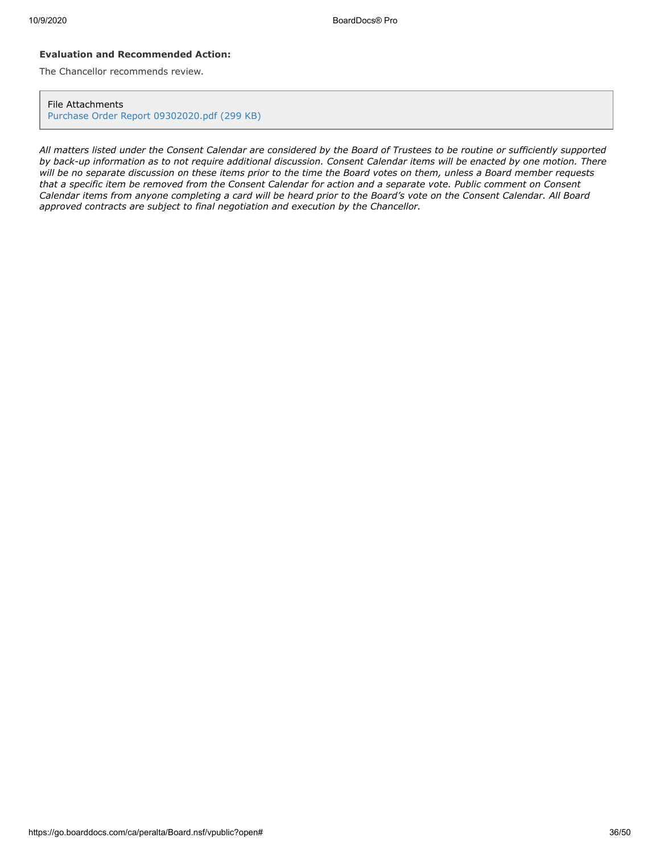# **Evaluation and Recommended Action:**

The Chancellor recommends review.

# File Attachments [Purchase Order Report 09302020.pdf \(299 KB\)](https://go.boarddocs.com/ca/peralta/Board.nsf/files/BU6RM76E2A43/$file/Purchase%20Order%20Report%2009302020.pdf)

*All matters listed under the Consent Calendar are considered by the Board of Trustees to be routine or sufficiently supported by back-up information as to not require additional discussion. Consent Calendar items will be enacted by one motion. There will be no separate discussion on these items prior to the time the Board votes on them, unless a Board member requests that a specific item be removed from the Consent Calendar for action and a separate vote. Public comment on Consent Calendar items from anyone completing a card will be heard prior to the Board's vote on the Consent Calendar. All Board approved contracts are subject to final negotiation and execution by the Chancellor.*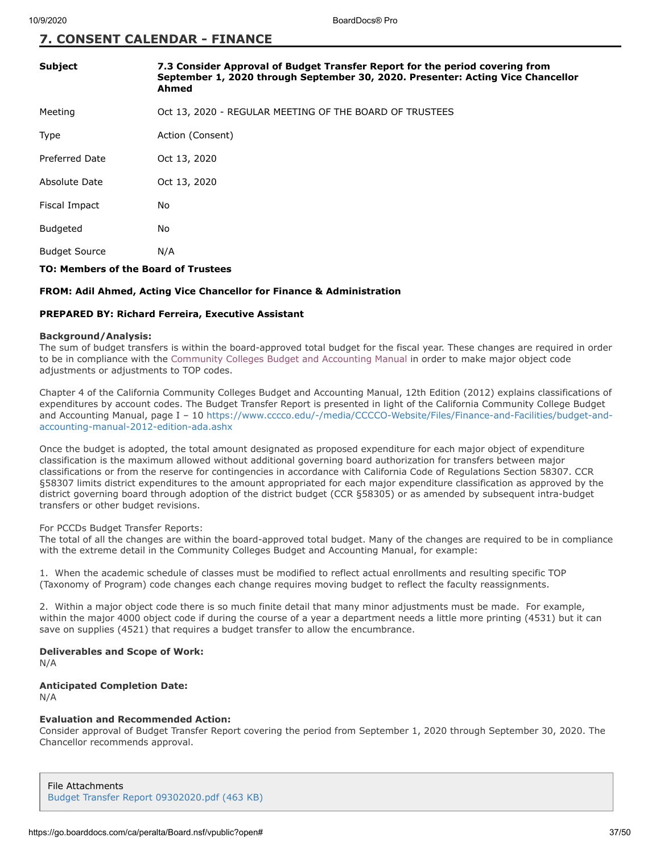# **7. CONSENT CALENDAR - FINANCE**

| <b>Subject</b>                           | 7.3 Consider Approval of Budget Transfer Report for the period covering from<br>September 1, 2020 through September 30, 2020. Presenter: Acting Vice Chancellor<br><b>Ahmed</b> |
|------------------------------------------|---------------------------------------------------------------------------------------------------------------------------------------------------------------------------------|
| Meeting                                  | Oct 13, 2020 - REGULAR MEETING OF THE BOARD OF TRUSTEES                                                                                                                         |
| Type                                     | Action (Consent)                                                                                                                                                                |
| Preferred Date                           | Oct 13, 2020                                                                                                                                                                    |
| Absolute Date                            | Oct 13, 2020                                                                                                                                                                    |
| Fiscal Impact                            | No                                                                                                                                                                              |
| <b>Budgeted</b>                          | No                                                                                                                                                                              |
| <b>Budget Source</b><br>________________ | N/A                                                                                                                                                                             |

# **TO: Members of the Board of Trustees**

### **FROM: Adil Ahmed, Acting Vice Chancellor for Finance & Administration**

### **PREPARED BY: Richard Ferreira, Executive Assistant**

#### **Background/Analysis:**

The sum of budget transfers is within the board-approved total budget for the fiscal year. These changes are required in order to be in compliance with the [Community Colleges Budget and Accounting Manual](https://www.cccco.edu/-/media/CCCCO-Website/Files/Finance-and-Facilities/budget-and-accounting-manual-2012-edition-ada.ashx?la=en&hash=8D0B20749805F8DFEA3C3AFD2FDF0096A5361EB2) in order to make major object code adjustments or adjustments to TOP codes.

Chapter 4 of the California Community Colleges Budget and Accounting Manual, 12th Edition (2012) explains classifications of expenditures by account codes. The Budget Transfer Report is presented in light of the California Community College Budget [and Accounting Manual, page I – 10 https://www.cccco.edu/-/media/CCCCO-Website/Files/Finance-and-Facilities/budget-and](https://www.cccco.edu/-/media/CCCCO-Website/Files/Finance-and-Facilities/budget-and-accounting-manual-2012-edition-ada.ashx)accounting-manual-2012-edition-ada.ashx

Once the budget is adopted, the total amount designated as proposed expenditure for each major object of expenditure classification is the maximum allowed without additional governing board authorization for transfers between major classifications or from the reserve for contingencies in accordance with California Code of Regulations Section 58307. CCR §58307 limits district expenditures to the amount appropriated for each major expenditure classification as approved by the district governing board through adoption of the district budget (CCR §58305) or as amended by subsequent intra-budget transfers or other budget revisions.

# For PCCDs Budget Transfer Reports:

The total of all the changes are within the board-approved total budget. Many of the changes are required to be in compliance with the extreme detail in the Community Colleges Budget and Accounting Manual, for example:

1. When the academic schedule of classes must be modified to reflect actual enrollments and resulting specific TOP (Taxonomy of Program) code changes each change requires moving budget to reflect the faculty reassignments.

2. Within a major object code there is so much finite detail that many minor adjustments must be made. For example, within the major 4000 object code if during the course of a year a department needs a little more printing (4531) but it can save on supplies (4521) that requires a budget transfer to allow the encumbrance.

# **Deliverables and Scope of Work:**

N/A

# **Anticipated Completion Date:**

N/A

#### **Evaluation and Recommended Action:**

Consider approval of Budget Transfer Report covering the period from September 1, 2020 through September 30, 2020. The Chancellor recommends approval.

File Attachments [Budget Transfer Report 09302020.pdf \(463 KB\)](https://go.boarddocs.com/ca/peralta/Board.nsf/files/BU6RN96E76DF/$file/Budget%20Transfer%20Report%2009302020.pdf)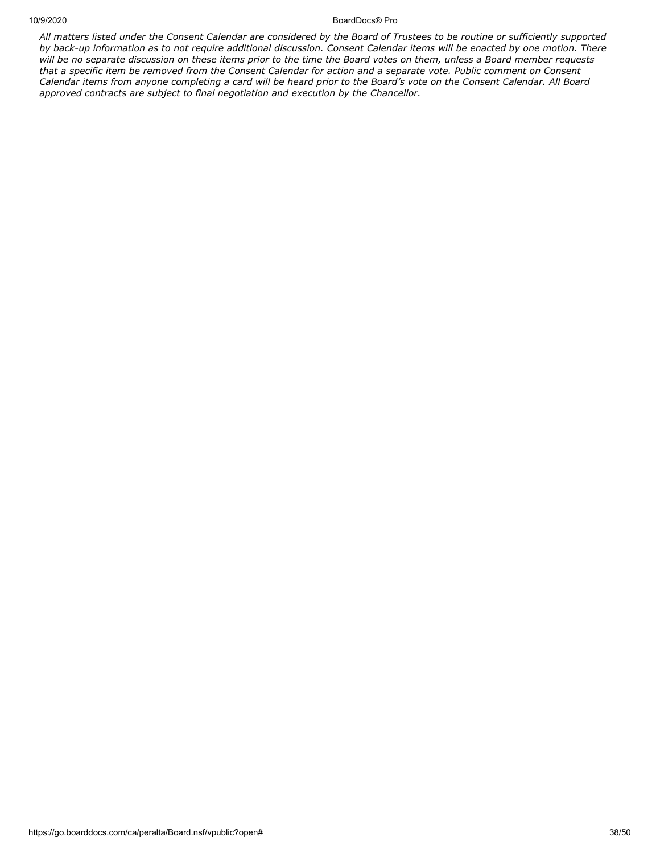#### 10/9/2020 BoardDocs® Pro

*All matters listed under the Consent Calendar are considered by the Board of Trustees to be routine or sufficiently supported by back-up information as to not require additional discussion. Consent Calendar items will be enacted by one motion. There will be no separate discussion on these items prior to the time the Board votes on them, unless a Board member requests that a specific item be removed from the Consent Calendar for action and a separate vote. Public comment on Consent Calendar items from anyone completing a card will be heard prior to the Board's vote on the Consent Calendar. All Board approved contracts are subject to final negotiation and execution by the Chancellor.*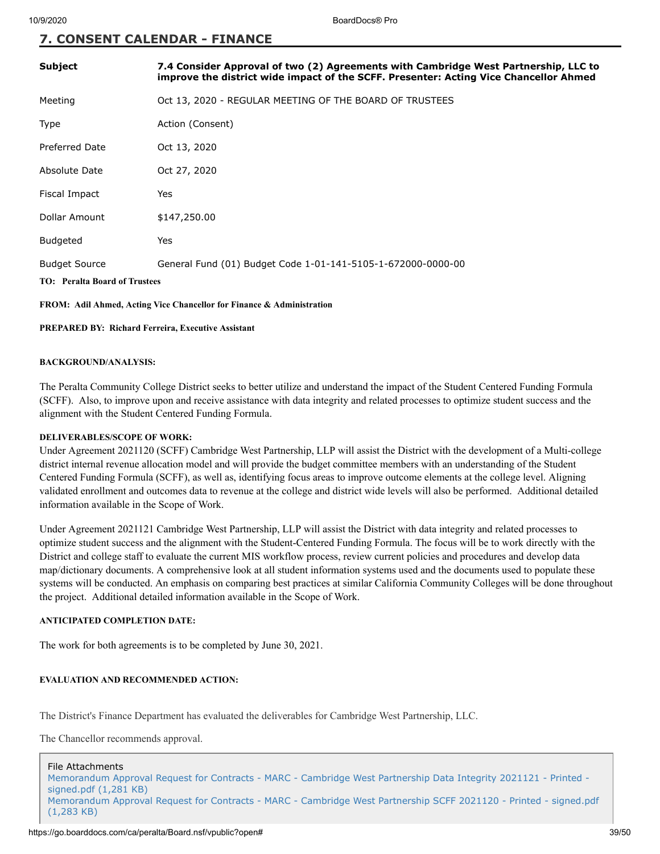# **7. CONSENT CALENDAR - FINANCE**

| <b>Subject</b>                       | 7.4 Consider Approval of two (2) Agreements with Cambridge West Partnership, LLC to<br>improve the district wide impact of the SCFF. Presenter: Acting Vice Chancellor Ahmed |
|--------------------------------------|------------------------------------------------------------------------------------------------------------------------------------------------------------------------------|
| Meeting                              | Oct 13, 2020 - REGULAR MEETING OF THE BOARD OF TRUSTEES                                                                                                                      |
| Type                                 | Action (Consent)                                                                                                                                                             |
| Preferred Date                       | Oct 13, 2020                                                                                                                                                                 |
| Absolute Date                        | Oct 27, 2020                                                                                                                                                                 |
| Fiscal Impact                        | Yes                                                                                                                                                                          |
| Dollar Amount                        | \$147,250.00                                                                                                                                                                 |
| <b>Budgeted</b>                      | Yes                                                                                                                                                                          |
| <b>Budget Source</b>                 | General Fund (01) Budget Code 1-01-141-5105-1-672000-0000-00                                                                                                                 |
| <b>TO:</b> Peralta Board of Trustees |                                                                                                                                                                              |

**FROM: Adil Ahmed, Acting Vice Chancellor for Finance & Administration**

# **PREPARED BY: Richard Ferreira, Executive Assistant**

#### **BACKGROUND/ANALYSIS:**

The Peralta Community College District seeks to better utilize and understand the impact of the Student Centered Funding Formula (SCFF). Also, to improve upon and receive assistance with data integrity and related processes to optimize student success and the alignment with the Student Centered Funding Formula.

#### **DELIVERABLES/SCOPE OF WORK:**

Under Agreement 2021120 (SCFF) Cambridge West Partnership, LLP will assist the District with the development of a Multi-college district internal revenue allocation model and will provide the budget committee members with an understanding of the Student Centered Funding Formula (SCFF), as well as, identifying focus areas to improve outcome elements at the college level. Aligning validated enrollment and outcomes data to revenue at the college and district wide levels will also be performed. Additional detailed information available in the Scope of Work.

Under Agreement 2021121 Cambridge West Partnership, LLP will assist the District with data integrity and related processes to optimize student success and the alignment with the Student-Centered Funding Formula. The focus will be to work directly with the District and college staff to evaluate the current MIS workflow process, review current policies and procedures and develop data map/dictionary documents. A comprehensive look at all student information systems used and the documents used to populate these systems will be conducted. An emphasis on comparing best practices at similar California Community Colleges will be done throughout the project. Additional detailed information available in the Scope of Work.

#### **ANTICIPATED COMPLETION DATE:**

The work for both agreements is to be completed by June 30, 2021.

#### **EVALUATION AND RECOMMENDED ACTION:**

The District's Finance Department has evaluated the deliverables for Cambridge West Partnership, LLC.

The Chancellor recommends approval.

```
File Attachments
Memorandum Approval Request for Contracts - MARC - Cambridge West Partnership Data Integrity 2021121 - Printed -
signed.pdf (1,281 KB)
Memorandum Approval Request for Contracts - MARC - Cambridge West Partnership SCFF 2021120 - Printed - signed.pdf
(1,283 KB)
```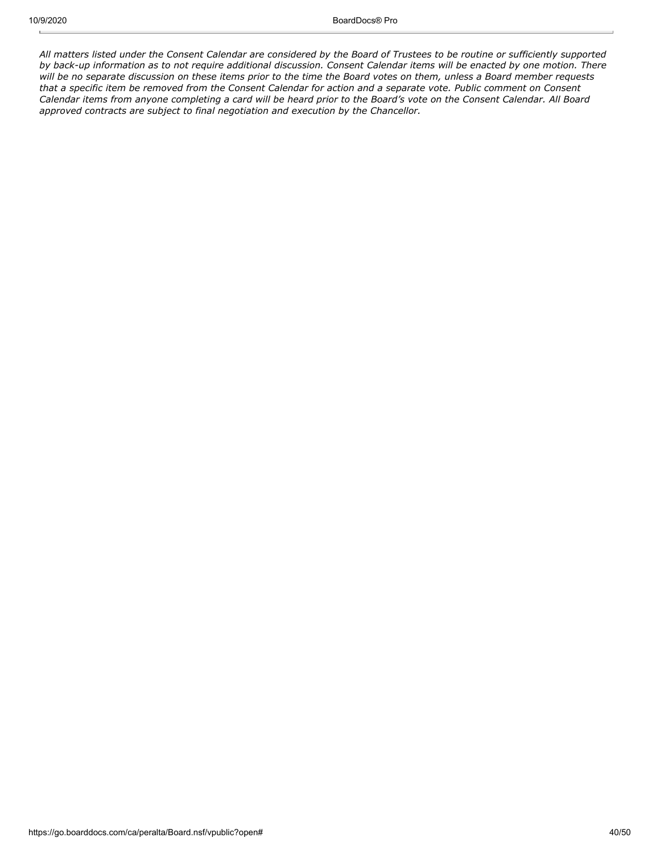*All matters listed under the Consent Calendar are considered by the Board of Trustees to be routine or sufficiently supported by back-up information as to not require additional discussion. Consent Calendar items will be enacted by one motion. There will be no separate discussion on these items prior to the time the Board votes on them, unless a Board member requests that a specific item be removed from the Consent Calendar for action and a separate vote. Public comment on Consent Calendar items from anyone completing a card will be heard prior to the Board's vote on the Consent Calendar. All Board approved contracts are subject to final negotiation and execution by the Chancellor.*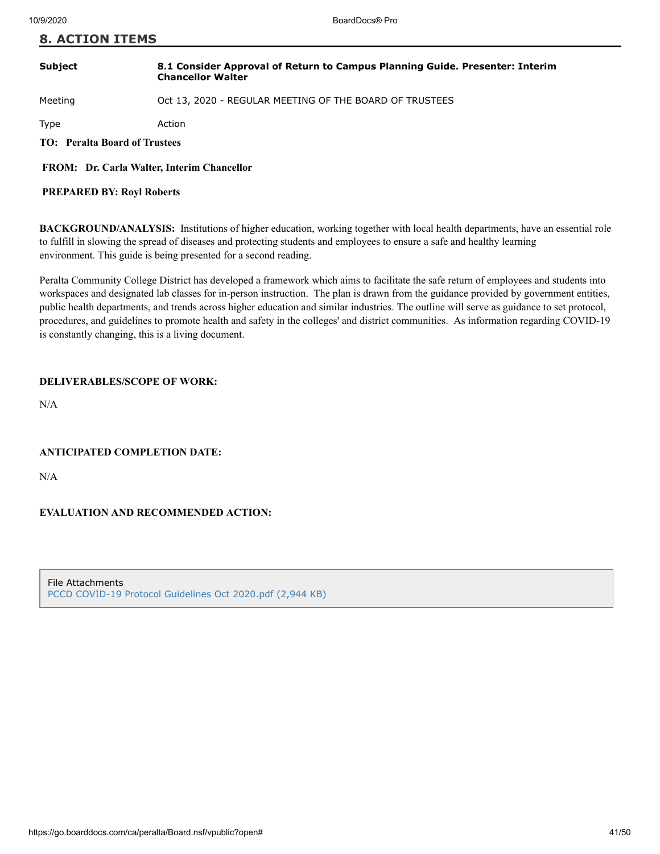# **8. ACTION ITEMS**

# **TO: Peralta Board of Trustees Subject 8.1 Consider Approval of Return to Campus Planning Guide. Presenter: Interim Chancellor Walter** Meeting  $Oct 13$ , 2020 - REGULAR MEETING OF THE BOARD OF TRUSTEES Type **Action**

 **FROM: Dr. Carla Walter, Interim Chancellor**

# **PREPARED BY: Royl Roberts**

**BACKGROUND/ANALYSIS:** Institutions of higher education, working together with local health departments, have an essential role to fulfill in slowing the spread of diseases and protecting students and employees to ensure a safe and healthy learning environment. This guide is being presented for a second reading.

Peralta Community College District has developed a framework which aims to facilitate the safe return of employees and students into workspaces and designated lab classes for in-person instruction. The plan is drawn from the guidance provided by government entities, public health departments, and trends across higher education and similar industries. The outline will serve as guidance to set protocol, procedures, and guidelines to promote health and safety in the colleges' and district communities. As information regarding COVID-19 is constantly changing, this is a living document.

# **DELIVERABLES/SCOPE OF WORK:**

N/A

# **ANTICIPATED COMPLETION DATE:**

N/A

# **EVALUATION AND RECOMMENDED ACTION:**

File Attachments [PCCD COVID-19 Protocol Guidelines Oct 2020.pdf \(2,944 KB\)](https://go.boarddocs.com/ca/peralta/Board.nsf/files/BU2QW36B3A76/$file/PCCD%20COVID-19%20Protocol%20Guidelines%20Oct%202020.pdf)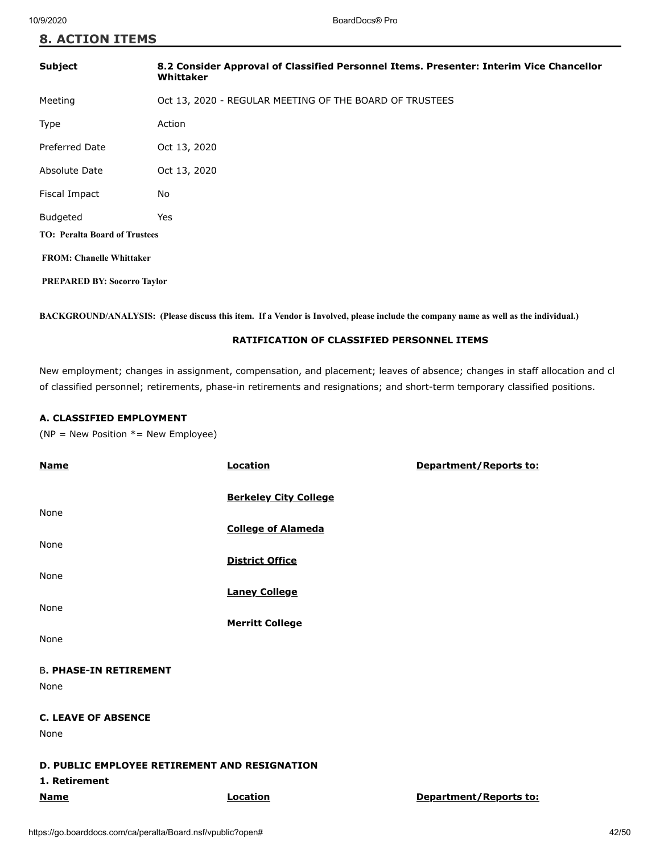# **8. ACTION ITEMS**

| <b>Subject</b>                       | 8.2 Consider Approval of Classified Personnel Items. Presenter: Interim Vice Chancellor<br>Whittaker |  |
|--------------------------------------|------------------------------------------------------------------------------------------------------|--|
| Meeting                              | Oct 13, 2020 - REGULAR MEETING OF THE BOARD OF TRUSTEES                                              |  |
| Type                                 | Action                                                                                               |  |
| <b>Preferred Date</b>                | Oct 13, 2020                                                                                         |  |
| Absolute Date                        | Oct 13, 2020                                                                                         |  |
| Fiscal Impact                        | No                                                                                                   |  |
| Budgeted                             | Yes                                                                                                  |  |
| <b>TO: Peralta Board of Trustees</b> |                                                                                                      |  |
| <b>FROM: Chanelle Whittaker</b>      |                                                                                                      |  |
| <b>PREPARED BY: Socorro Taylor</b>   |                                                                                                      |  |

**BACKGROUND/ANALYSIS: (Please discuss this item. If a Vendor is Involved, please include the company name as well as the individual.)**

# **RATIFICATION OF CLASSIFIED PERSONNEL ITEMS**

New employment; changes in assignment, compensation, and placement; leaves of absence; changes in staff allocation and cl of classified personnel; retirements, phase-in retirements and resignations; and short-term temporary classified positions.

# **A. CLASSIFIED EMPLOYMENT**

( $NP = New Position * = New Empire)$ )

| <b>Name</b>                                          | <b>Location</b>              | Department/Reports to: |
|------------------------------------------------------|------------------------------|------------------------|
|                                                      | <b>Berkeley City College</b> |                        |
| None                                                 |                              |                        |
|                                                      | <b>College of Alameda</b>    |                        |
| None                                                 | <b>District Office</b>       |                        |
| None                                                 |                              |                        |
|                                                      | <b>Laney College</b>         |                        |
| None                                                 |                              |                        |
| None                                                 | <b>Merritt College</b>       |                        |
|                                                      |                              |                        |
| <b>B. PHASE-IN RETIREMENT</b>                        |                              |                        |
| None                                                 |                              |                        |
|                                                      |                              |                        |
| <b>C. LEAVE OF ABSENCE</b>                           |                              |                        |
| None                                                 |                              |                        |
| <b>D. PUBLIC EMPLOYEE RETIREMENT AND RESIGNATION</b> |                              |                        |
| 1. Retirement                                        |                              |                        |
| <b>Name</b>                                          | Location                     | Department/Reports to: |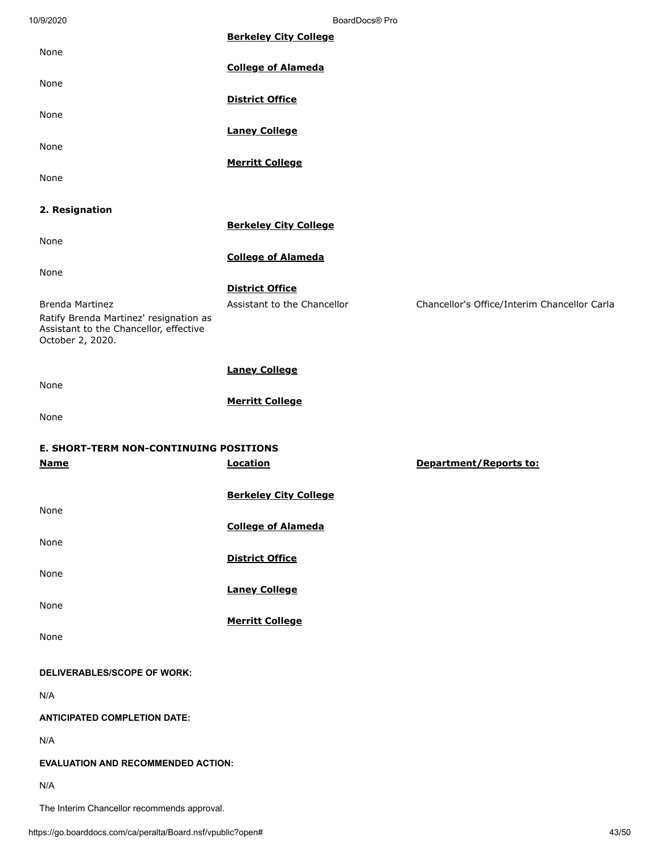| 10/9/2020                                                  | BoardDocs® Pro               |                                              |
|------------------------------------------------------------|------------------------------|----------------------------------------------|
|                                                            | <b>Berkeley City College</b> |                                              |
| None                                                       |                              |                                              |
|                                                            | <b>College of Alameda</b>    |                                              |
| None                                                       |                              |                                              |
|                                                            | <b>District Office</b>       |                                              |
| None                                                       |                              |                                              |
|                                                            | <b>Laney College</b>         |                                              |
| None                                                       |                              |                                              |
|                                                            | <b>Merritt College</b>       |                                              |
| None                                                       |                              |                                              |
|                                                            |                              |                                              |
| 2. Resignation                                             |                              |                                              |
|                                                            | <b>Berkeley City College</b> |                                              |
| None                                                       |                              |                                              |
|                                                            | <b>College of Alameda</b>    |                                              |
| None                                                       |                              |                                              |
|                                                            | <b>District Office</b>       |                                              |
| <b>Brenda Martinez</b>                                     | Assistant to the Chancellor  | Chancellor's Office/Interim Chancellor Carla |
| Ratify Brenda Martinez' resignation as                     |                              |                                              |
| Assistant to the Chancellor, effective<br>October 2, 2020. |                              |                                              |
|                                                            |                              |                                              |
|                                                            | <b>Laney College</b>         |                                              |
| None                                                       |                              |                                              |
|                                                            | <b>Merritt College</b>       |                                              |
| None                                                       |                              |                                              |
|                                                            |                              |                                              |
| E. SHORT-TERM NON-CONTINUING POSITIONS                     |                              |                                              |
| <b>Name</b>                                                | Location                     | Department/Reports to:                       |
|                                                            |                              |                                              |
|                                                            | <b>Berkeley City College</b> |                                              |
|                                                            |                              |                                              |
| None                                                       |                              |                                              |
|                                                            | <b>College of Alameda</b>    |                                              |
| None                                                       |                              |                                              |
|                                                            | <b>District Office</b>       |                                              |
| None                                                       |                              |                                              |
|                                                            | <b>Laney College</b>         |                                              |
| None                                                       |                              |                                              |
|                                                            | <b>Merritt College</b>       |                                              |
| None                                                       |                              |                                              |
|                                                            |                              |                                              |
| <b>DELIVERABLES/SCOPE OF WORK:</b>                         |                              |                                              |
|                                                            |                              |                                              |
| N/A                                                        |                              |                                              |
| <b>ANTICIPATED COMPLETION DATE:</b>                        |                              |                                              |
|                                                            |                              |                                              |
| N/A                                                        |                              |                                              |
| <b>EVALUATION AND RECOMMENDED ACTION:</b>                  |                              |                                              |
| N/A                                                        |                              |                                              |
| The Interim Chancellor recommends approval.                |                              |                                              |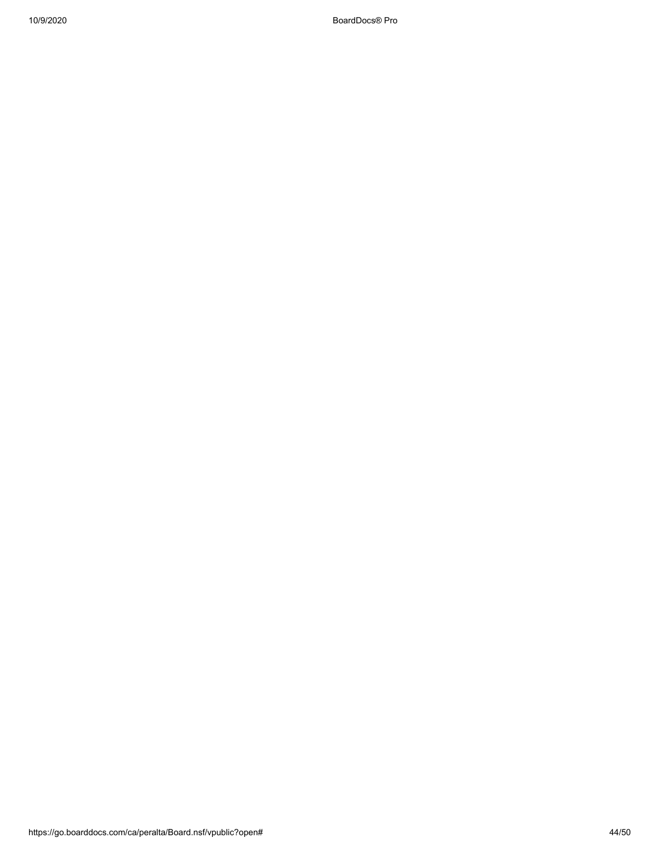10/9/2020 BoardDocs® Pro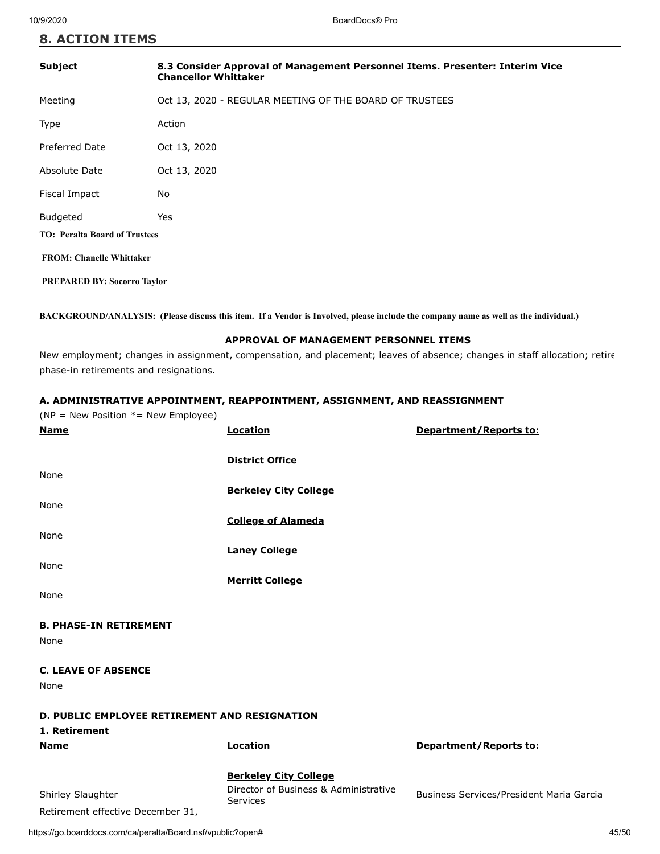# **8. ACTION ITEMS**

| <b>Subject</b>                       | 8.3 Consider Approval of Management Personnel Items. Presenter: Interim Vice<br><b>Chancellor Whittaker</b> |  |
|--------------------------------------|-------------------------------------------------------------------------------------------------------------|--|
| Meeting                              | Oct 13, 2020 - REGULAR MEETING OF THE BOARD OF TRUSTEES                                                     |  |
| Type                                 | Action                                                                                                      |  |
| Preferred Date                       | Oct 13, 2020                                                                                                |  |
| Absolute Date                        | Oct 13, 2020                                                                                                |  |
| Fiscal Impact                        | No                                                                                                          |  |
| <b>Budgeted</b>                      | Yes                                                                                                         |  |
| <b>TO: Peralta Board of Trustees</b> |                                                                                                             |  |
| <b>FROM: Chanelle Whittaker</b>      |                                                                                                             |  |
| <b>PREPARED BY: Socorro Taylor</b>   |                                                                                                             |  |

**BACKGROUND/ANALYSIS: (Please discuss this item. If a Vendor is Involved, please include the company name as well as the individual.)**

# **APPROVAL OF MANAGEMENT PERSONNEL ITEMS**

New employment; changes in assignment, compensation, and placement; leaves of absence; changes in staff allocation; retire phase-in retirements and resignations.

# **A. ADMINISTRATIVE APPOINTMENT, REAPPOINTMENT, ASSIGNMENT, AND REASSIGNMENT**

| ( $NP = New Position * = New Employee$ )      |                                       |                                          |
|-----------------------------------------------|---------------------------------------|------------------------------------------|
| <b>Name</b>                                   | Location                              | Department/Reports to:                   |
|                                               |                                       |                                          |
|                                               | <b>District Office</b>                |                                          |
| None                                          |                                       |                                          |
|                                               | <b>Berkeley City College</b>          |                                          |
| None                                          |                                       |                                          |
|                                               | <b>College of Alameda</b>             |                                          |
| None                                          |                                       |                                          |
|                                               | <b>Laney College</b>                  |                                          |
| None                                          |                                       |                                          |
|                                               | <b>Merritt College</b>                |                                          |
| None                                          |                                       |                                          |
| <b>B. PHASE-IN RETIREMENT</b>                 |                                       |                                          |
| None                                          |                                       |                                          |
|                                               |                                       |                                          |
| <b>C. LEAVE OF ABSENCE</b>                    |                                       |                                          |
| None                                          |                                       |                                          |
|                                               |                                       |                                          |
| D. PUBLIC EMPLOYEE RETIREMENT AND RESIGNATION |                                       |                                          |
| 1. Retirement                                 |                                       |                                          |
| <b>Name</b>                                   | Location                              | Department/Reports to:                   |
|                                               |                                       |                                          |
|                                               | <b>Berkeley City College</b>          |                                          |
| Shirley Slaughter                             | Director of Business & Administrative | Business Services/President Maria Garcia |
|                                               | Services                              |                                          |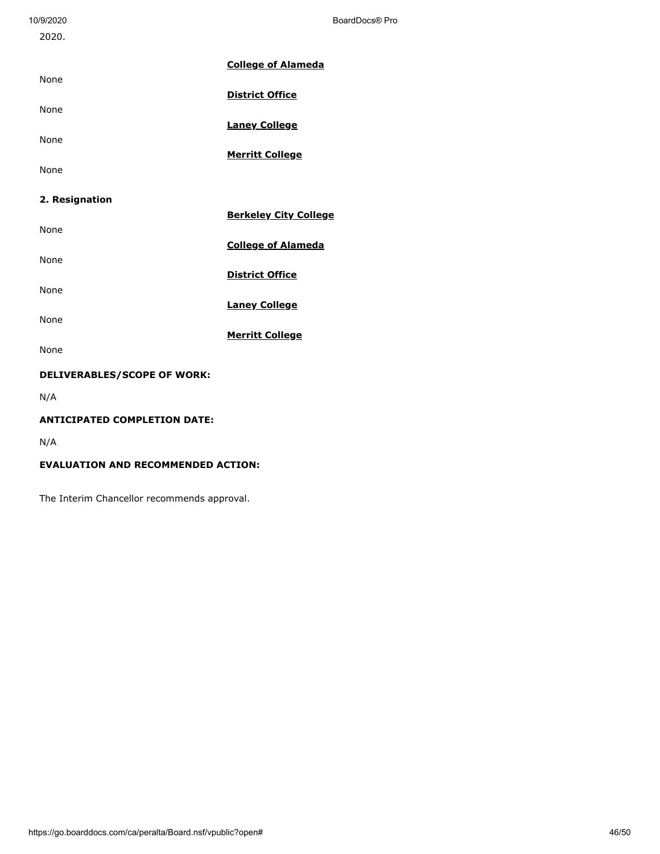2020.

|                | <b>College of Alameda</b>    |
|----------------|------------------------------|
| None           | <b>District Office</b>       |
| <b>None</b>    |                              |
| None           | <b>Laney College</b>         |
|                | <u>Merritt College</u>       |
| None           |                              |
| 2. Resignation |                              |
| None           | <b>Berkeley City College</b> |
|                | <b>College of Alameda</b>    |
| None           | <b>District Office</b>       |
| None           |                              |

**Laney College**

**Merritt College**

None

None

# **DELIVERABLES/SCOPE OF WORK:**

N/A

# **ANTICIPATED COMPLETION DATE:**

N/A

# **EVALUATION AND RECOMMENDED ACTION:**

The Interim Chancellor recommends approval.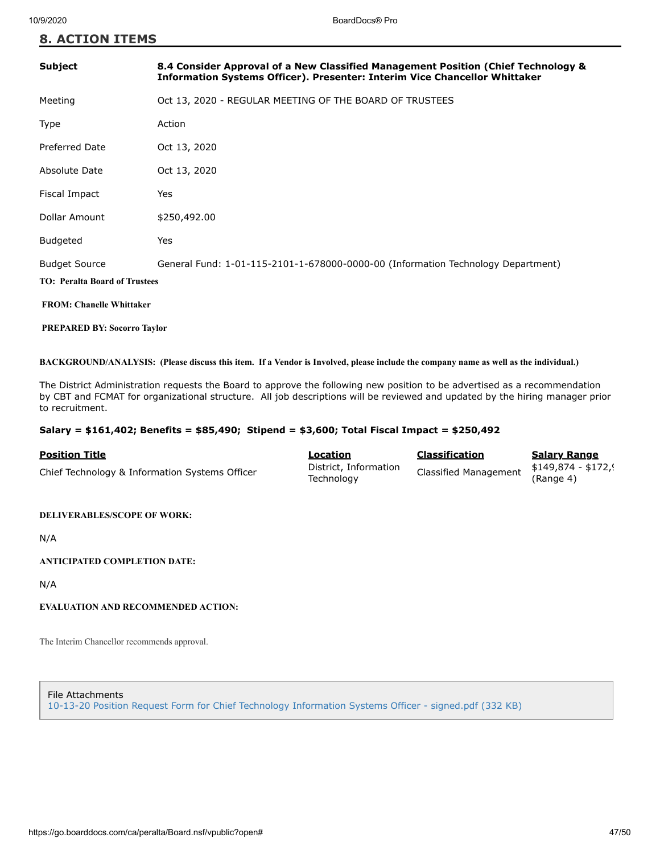**8. ACTION ITEMS**

| <b>Subject</b>                       | 8.4 Consider Approval of a New Classified Management Position (Chief Technology &<br>Information Systems Officer). Presenter: Interim Vice Chancellor Whittaker |
|--------------------------------------|-----------------------------------------------------------------------------------------------------------------------------------------------------------------|
| Meeting                              | Oct 13, 2020 - REGULAR MEETING OF THE BOARD OF TRUSTEES                                                                                                         |
| Type                                 | Action                                                                                                                                                          |
| Preferred Date                       | Oct 13, 2020                                                                                                                                                    |
| Absolute Date                        | Oct 13, 2020                                                                                                                                                    |
| Fiscal Impact                        | Yes                                                                                                                                                             |
| Dollar Amount                        | \$250,492.00                                                                                                                                                    |
| <b>Budgeted</b>                      | Yes                                                                                                                                                             |
| <b>Budget Source</b>                 | General Fund: 1-01-115-2101-1-678000-0000-00 (Information Technology Department)                                                                                |
| <b>TO: Peralta Board of Trustees</b> |                                                                                                                                                                 |
| <b>FROM: Chanelle Whittaker</b>      |                                                                                                                                                                 |
| <b>PREPARED BY: Socorro Taylor</b>   |                                                                                                                                                                 |

#### **BACKGROUND/ANALYSIS: (Please discuss this item. If a Vendor is Involved, please include the company name as well as the individual.)**

The District Administration requests the Board to approve the following new position to be advertised as a recommendation by CBT and FCMAT for organizational structure. All job descriptions will be reviewed and updated by the hiring manager prior to recruitment.

#### **Salary = \$161,402; Benefits = \$85,490; Stipend = \$3,600; Total Fiscal Impact = \$250,492**

| <b>Position Title</b>                          | Location                            | <b>Classification</b>        | <b>Salary Range</b>             |
|------------------------------------------------|-------------------------------------|------------------------------|---------------------------------|
| Chief Technology & Information Systems Officer | District, Information<br>Technology | <b>Classified Management</b> | \$149,874 - \$172,<br>(Range 4) |

# **DELIVERABLES/SCOPE OF WORK:**

N/A

#### **ANTICIPATED COMPLETION DATE:**

N/A

# **EVALUATION AND RECOMMENDED ACTION:**

The Interim Chancellor recommends approval.

File Attachments [10-13-20 Position Request Form for Chief Technology Information Systems Officer - signed.pdf \(332 KB\)](https://go.boarddocs.com/ca/peralta/Board.nsf/files/BU2QPA6A3C49/$file/10-13-20%20Position%20Request%20Form%20for%20Chief%20Technology%20%20Information%20Systems%20Officer%20-%20signed.pdf)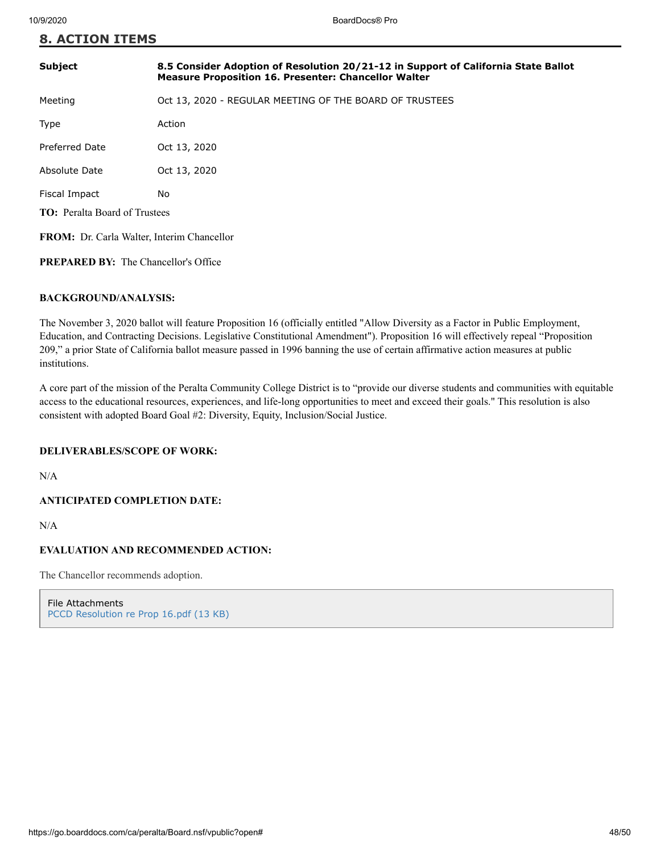| <b>8. ACTION ITEMS</b>                      |                                                                                                                                                   |  |
|---------------------------------------------|---------------------------------------------------------------------------------------------------------------------------------------------------|--|
| <b>Subject</b>                              | 8.5 Consider Adoption of Resolution 20/21-12 in Support of California State Ballot<br><b>Measure Proposition 16. Presenter: Chancellor Walter</b> |  |
| Meeting                                     | Oct 13, 2020 - REGULAR MEETING OF THE BOARD OF TRUSTEES                                                                                           |  |
| Type                                        | Action                                                                                                                                            |  |
| Preferred Date                              | Oct 13, 2020                                                                                                                                      |  |
| Absolute Date                               | Oct 13, 2020                                                                                                                                      |  |
| Fiscal Impact                               | No                                                                                                                                                |  |
| <b>TO:</b> Peralta Board of Trustees        |                                                                                                                                                   |  |
| FROM: Dr. Carla Walter, Interim Chancellor  |                                                                                                                                                   |  |
| <b>PREPARED BY:</b> The Chancellor's Office |                                                                                                                                                   |  |

# **BACKGROUND/ANALYSIS:**

The November 3, 2020 ballot will feature Proposition 16 (officially entitled "Allow Diversity as a Factor in Public Employment, Education, and Contracting Decisions. Legislative Constitutional Amendment"). Proposition 16 will effectively repeal "Proposition 209," a prior State of California ballot measure passed in 1996 banning the use of certain affirmative action measures at public institutions.

A core part of the mission of the Peralta Community College District is to "provide our diverse students and communities with equitable access to the educational resources, experiences, and life-long opportunities to meet and exceed their goals." This resolution is also consistent with adopted Board Goal #2: Diversity, Equity, Inclusion/Social Justice.

# **DELIVERABLES/SCOPE OF WORK:**

N/A

**ANTICIPATED COMPLETION DATE:**

N/A

# **EVALUATION AND RECOMMENDED ACTION:**

The Chancellor recommends adoption.

File Attachments [PCCD Resolution re Prop 16.pdf \(13 KB\)](https://go.boarddocs.com/ca/peralta/Board.nsf/files/BU8PCS640230/$file/PCCD%20Resolution%20re%20Prop%2016.pdf)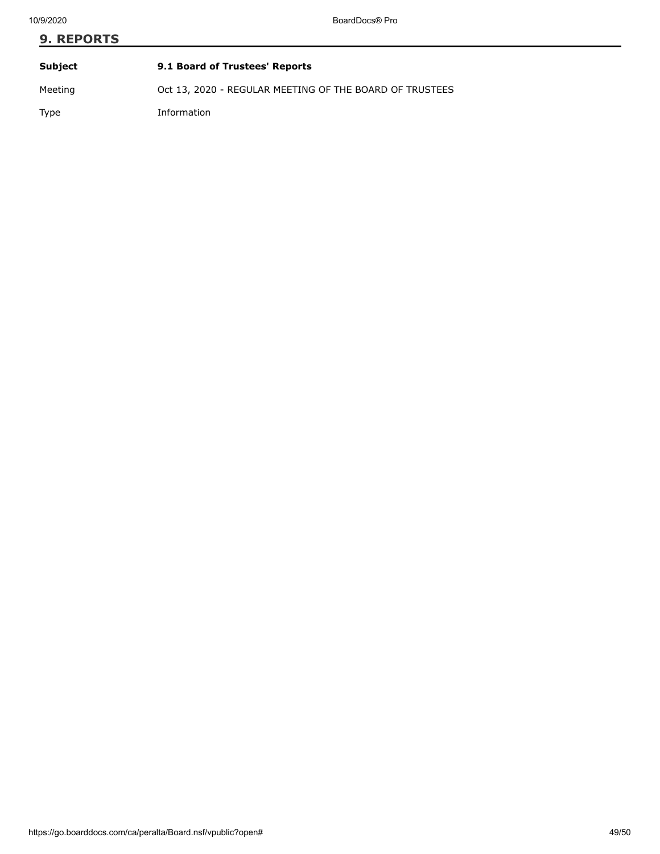# **9. REPORTS Subject 9.1 Board of Trustees' Reports**

Meeting Oct 13, 2020 - REGULAR MEETING OF THE BOARD OF TRUSTEES

Type Information